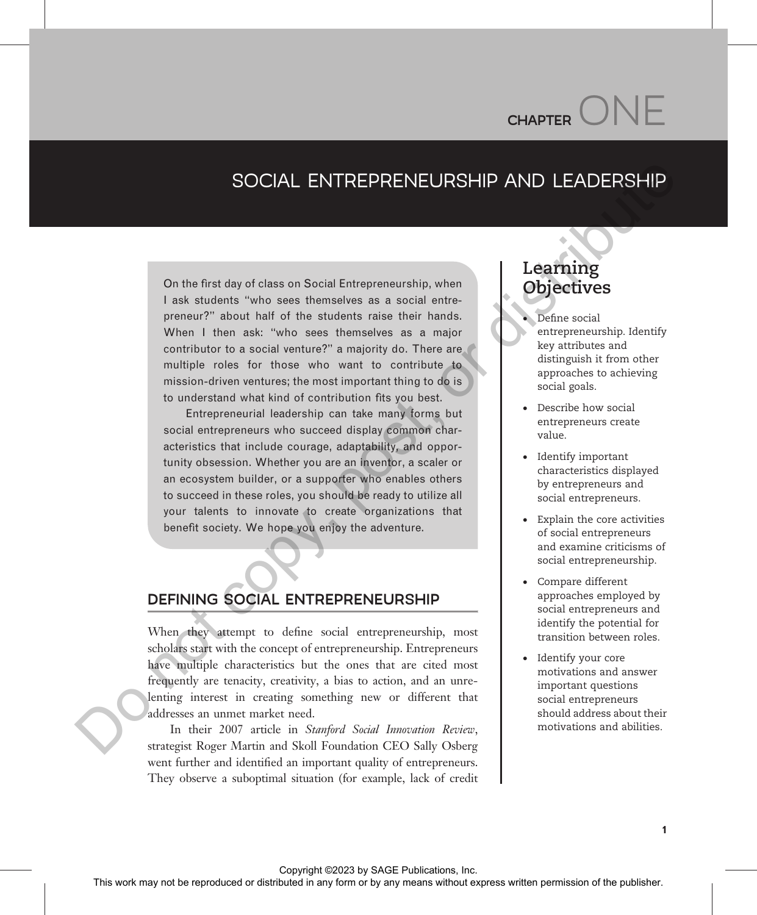# $CHAPTER$

# SOCIAL ENTREPRENEURSHIP AND LEADERSHIP

On the first day of class on Social Entrepreneurship, when I ask students "who sees themselves as a social entrepreneur?" about half of the students raise their hands. When I then ask: "who sees themselves as a major contributor to a social venture?" a majority do. There are multiple roles for those who want to contribute to mission-driven ventures; the most important thing to do is to understand what kind of contribution fits you best.

Entrepreneurial leadership can take many forms but social entrepreneurs who succeed display common characteristics that include courage, adaptability, and opportunity obsession. Whether you are an inventor, a scaler or an ecosystem builder, or a supporter who enables others to succeed in these roles, you should be ready to utilize all your talents to innovate to create organizations that benefit society. We hope you enjoy the adventure. SOCIAL ENTREPRENEURSHIP AND LEADERSHIP<br>
On the first day of class on Social Entrepreneurship, when<br>  $\frac{1}{2}$  counter with a scalar origin and the publisher.<br>
Your any first day of the publisher and scalar origin and the

# DEFINING SOCIAL ENTREPRENEURSHIP

When they attempt to define social entrepreneurship, most scholars start with the concept of entrepreneurship. Entrepreneurs have multiple characteristics but the ones that are cited most frequently are tenacity, creativity, a bias to action, and an unrelenting interest in creating something new or different that addresses an unmet market need.

In their 2007 article in Stanford Social Innovation Review, strategist Roger Martin and Skoll Foundation CEO Sally Osberg went further and identified an important quality of entrepreneurs. They observe a suboptimal situation (for example, lack of credit

# Learning  $\bigcirc$

- Define social entrepreneurship. Identify key attributes and distinguish it from other approaches to achieving social goals.
- · Describe how social entrepreneurs create value.
- · Identify important characteristics displayed by entrepreneurs and social entrepreneurs.
- · Explain the core activities of social entrepreneurs and examine criticisms of social entrepreneurship.
- · Compare different approaches employed by social entrepreneurs and identify the potential for transition between roles.
- Identify your core motivations and answer important questions social entrepreneurs should address about their motivations and abilities.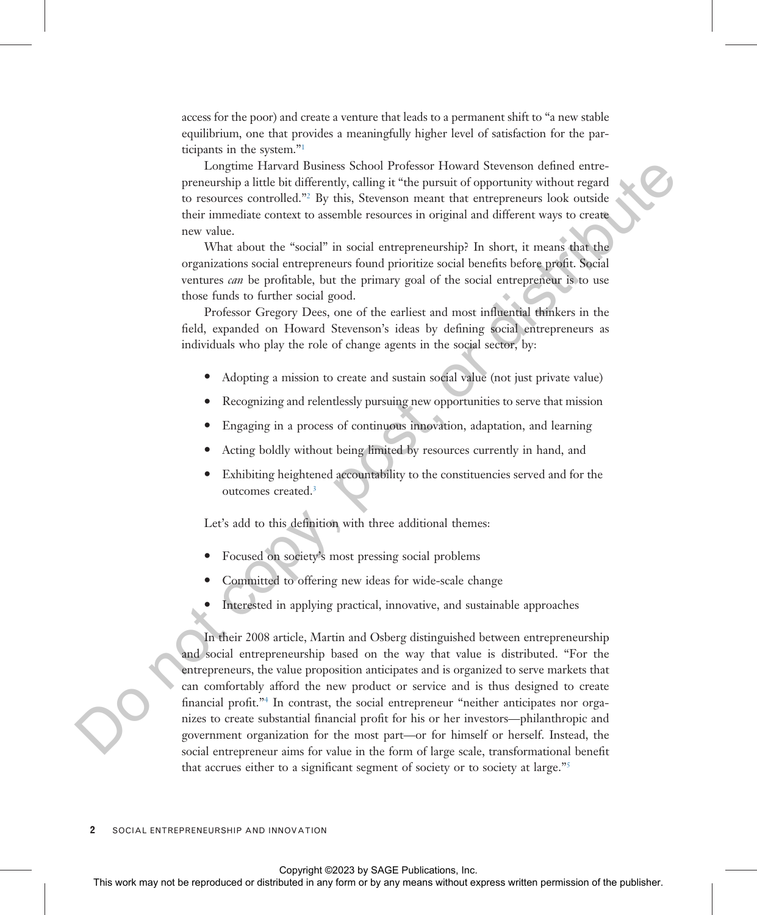access for the poor) and create a venture that leads to a permanent shift to "a new stable equilibrium, one that provides a meaningfully higher level of satisfaction for the participants in the system."[1](#page-27-0)

Longtime Harvard Business School Professor Howard Stevenson defined entrepreneurship a little bit differently, calling it "the pursuit of opportunity without regard to resources controlled."<sup>2</sup> By this, Stevenson meant that entrepreneurs look outside their immediate context to assemble resources in original and different ways to create new value.

What about the "social" in social entrepreneurship? In short, it means that the organizations social entrepreneurs found prioritize social benefits before profit. Social ventures can be profitable, but the primary goal of the social entrepreneur is to use those funds to further social good.

Professor Gregory Dees, one of the earliest and most influential thinkers in the field, expanded on Howard Stevenson's ideas by defining social entrepreneurs as individuals who play the role of change agents in the social sector, by:

- Adopting a mission to create and sustain social value (not just private value)
- Recognizing and relentlessly pursuing new opportunities to serve that mission
- · Engaging in a process of continuous innovation, adaptation, and learning
- Acting boldly without being limited by resources currently in hand, and
- Exhibiting heightened accountability to the constituencies served and for the outcomes created.<sup>3</sup>

Let's add to this definition with three additional themes:

- Focused on society's most pressing social problems
- Committed to offering new ideas for wide-scale change
- Interested in applying practical, innovative, and sustainable approaches

In their 2008 article, Martin and Osberg distinguished between entrepreneurship and social entrepreneurship based on the way that value is distributed. "For the entrepreneurs, the value proposition anticipates and is organized to serve markets that can comfortably afford the new product or service and is thus designed to create financial profit."<sup>4</sup> In contrast, the social entrepreneur "neither anticipates nor organizes to create substantial financial profit for his or her investors—philanthropic and government organization for the most part—or for himself or herself. Instead, the social entrepreneur aims for value in the form of large scale, transformational benefit that accrues either to a significant segment of society or to society at large."[5](#page-28-0) Let the relation of the representation of the relation of the relation of the relation of the relation or the relation of the relation of the relation of the relation of the relation of the relation of the relation of the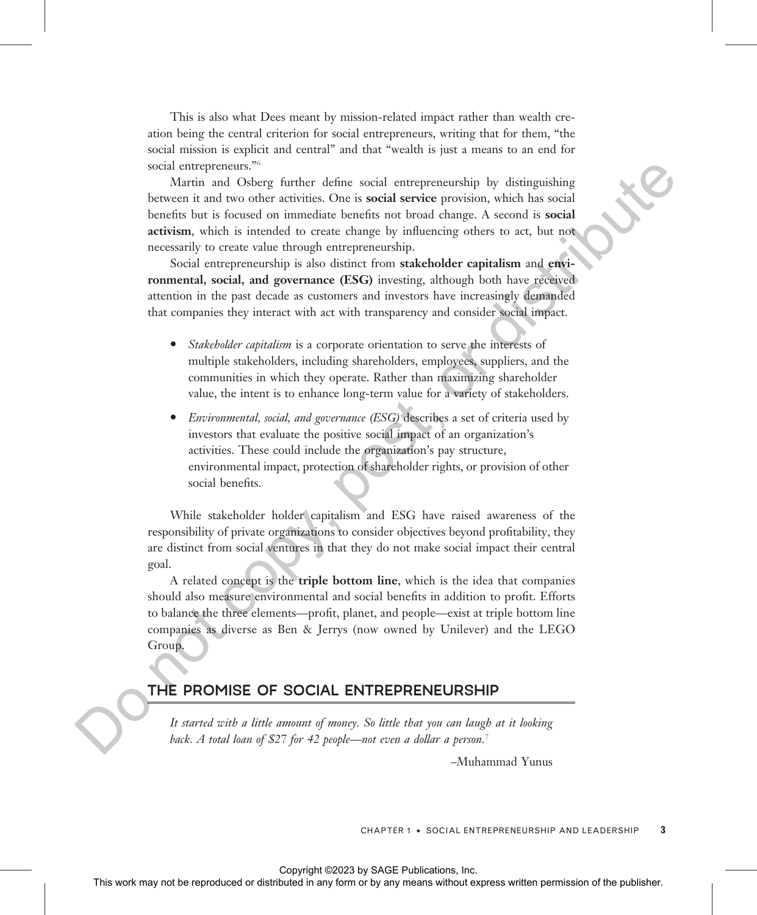This is also what Dees meant by mission-related impact rather than wealth creation being the central criterion for social entrepreneurs, writing that for them, "the social mission is explicit and central" and that "wealth is just a means to an end for social entrepreneurs."<sup>6</sup>

Martin and Osberg further define social entrepreneurship by distinguishing between it and two other activities. One is social service provision, which has social benefits but is focused on immediate benefits not broad change. A second is social activism, which is intended to create change by influencing others to act, but not necessarily to create value through entrepreneurship. oxid Marin and Oslowice Or distributed Or is a social service procession, which has work in an order any form or by an induced in any form or by any means with a simulate the publisher. Also the publisher or but any form

Social entrepreneurship is also distinct from stakeholder capitalism and environmental, social, and governance (ESG) investing, although both have received attention in the past decade as customers and investors have increasingly demanded that companies they interact with act with transparency and consider social impact.

- Stakeholder capitalism is a corporate orientation to serve the interests of multiple stakeholders, including shareholders, employees, suppliers, and the communities in which they operate. Rather than maximizing shareholder value, the intent is to enhance long-term value for a variety of stakeholders.
- Environmental, social, and governance (ESG) describes a set of criteria used by investors that evaluate the positive social impact of an organization's activities. These could include the organization's pay structure, environmental impact, protection of shareholder rights, or provision of other social benefits.

While stakeholder holder capitalism and ESG have raised awareness of the responsibility of private organizations to consider objectives beyond profitability, they are distinct from social ventures in that they do not make social impact their central goal.

A related concept is the triple bottom line, which is the idea that companies should also measure environmental and social benefits in addition to profit. Efforts to balance the three elements—profit, planet, and people—exist at triple bottom line companies as diverse as Ben & Jerrys (now owned by Unilever) and the LEGO Group.

### THE PROMISE OF SOCIAL ENTREPRENEURSHIP

It started with a little amount of money. So little that you can laugh at it looking back. A total loan of \$27 for 42 people—not even a dollar a person.<sup>7</sup>

–Muhammad Yunus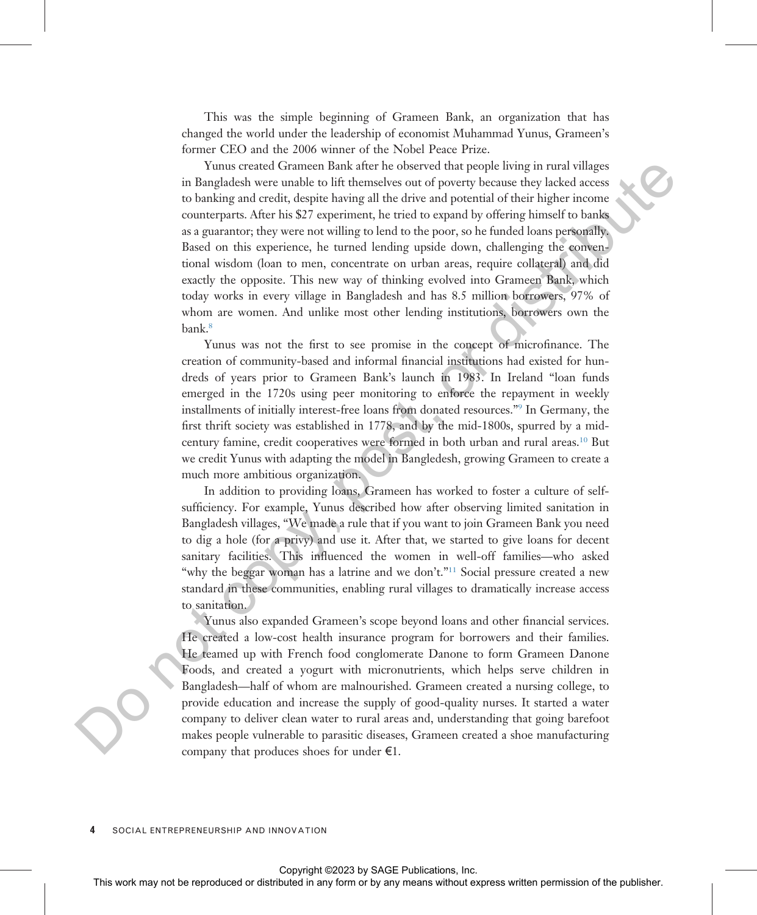This was the simple beginning of Grameen Bank, an organization that has changed the world under the leadership of economist Muhammad Yunus, Grameen's former CEO and the 2006 winner of the Nobel Peace Prize.

Yunus created Grameen Bank after he observed that people living in rural villages in Bangladesh were unable to lift themselves out of poverty because they lacked access to banking and credit, despite having all the drive and potential of their higher income counterparts. After his \$27 experiment, he tried to expand by offering himself to banks as a guarantor; they were not willing to lend to the poor, so he funded loans personally. Based on this experience, he turned lending upside down, challenging the conventional wisdom (loan to men, concentrate on urban areas, require collateral) and did exactly the opposite. This new way of thinking evolved into Grameen Bank, which today works in every village in Bangladesh and has 8.5 million borrowers, 97% of whom are women. And unlike most other lending institutions, borrowers own the bank.<sup>8</sup> The may occasion of the reproduced or distributed in any form or by any means with the results of the results of the results and the results of the results of the results of the results of the results of the results of th

Yunus was not the first to see promise in the concept of microfinance. The creation of community-based and informal financial institutions had existed for hundreds of years prior to Grameen Bank's launch in 1983. In Ireland "loan funds emerged in the 1720s using peer monitoring to enforce the repayment in weekly installments of initially interest-free loans from donated resources."<sup>9</sup> In Germany, the first thrift society was established in 1778, and by the mid-1800s, spurred by a midcentury famine, credit cooperatives were formed in both urban and rural areas.10 But we credit Yunus with adapting the model in Bangledesh, growing Grameen to create a much more ambitious organization.

In addition to providing loans, Grameen has worked to foster a culture of selfsufficiency. For example, Yunus described how after observing limited sanitation in Bangladesh villages, "We made a rule that if you want to join Grameen Bank you need to dig a hole (for a privy) and use it. After that, we started to give loans for decent sanitary facilities. This influenced the women in well-off families—who asked "why the beggar woman has a latrine and we don't."<sup>11</sup> Social pressure created a new standard in these communities, enabling rural villages to dramatically increase access to sanitation.

Yunus also expanded Grameen's scope beyond loans and other financial services. He created a low-cost health insurance program for borrowers and their families. He teamed up with French food conglomerate Danone to form Grameen Danone Foods, and created a yogurt with micronutrients, which helps serve children in Bangladesh—half of whom are malnourished. Grameen created a nursing college, to provide education and increase the supply of good-quality nurses. It started a water company to deliver clean water to rural areas and, understanding that going barefoot makes people vulnerable to parasitic diseases, Grameen created a shoe manufacturing company that produces shoes for under  $E1$ .

SOCIAL ENTREPRENEURSHIP AND INNOVATION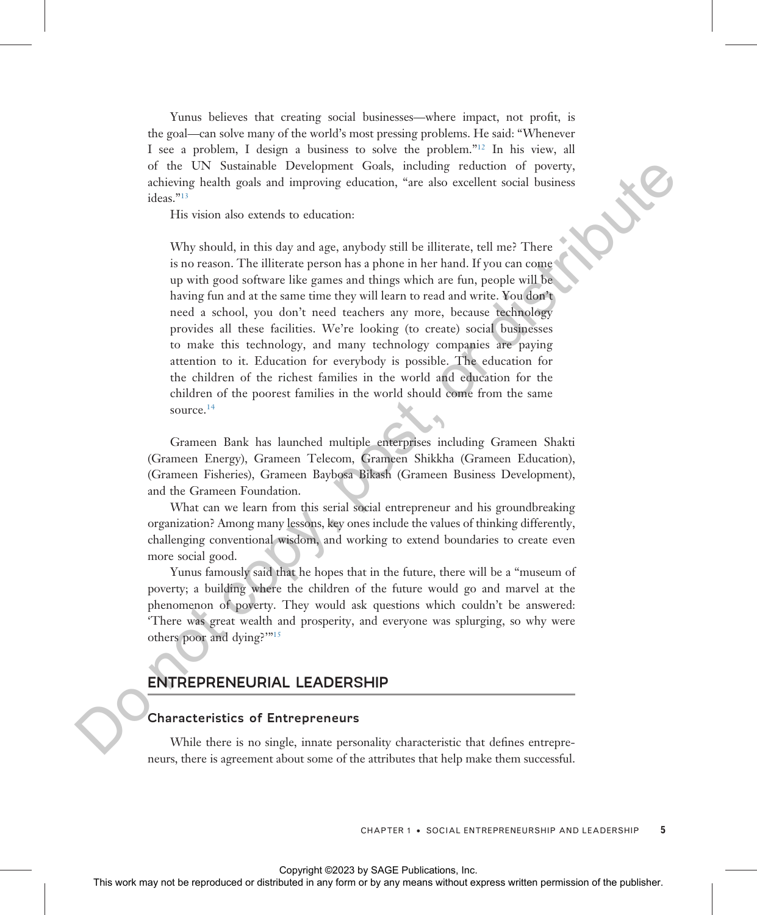Yunus believes that creating social businesses—where impact, not profit, is the goal—can solve many of the world's most pressing problems. He said: "Whenever I see a problem, I design a business to solve the problem."[12](#page-28-0) In his view, all of the UN Sustainable Development Goals, including reduction of poverty, achieving health goals and improving education, "are also excellent social business ideas."<sup>13</sup>

His vision also extends to education:

Why should, in this day and age, anybody still be illiterate, tell me? There is no reason. The illiterate person has a phone in her hand. If you can come up with good software like games and things which are fun, people will be having fun and at the same time they will learn to read and write. You don't need a school, you don't need teachers any more, because technology provides all these facilities. We're looking (to create) social businesses to make this technology, and many technology companies are paying attention to it. Education for everybody is possible. The education for the children of the richest families in the world and education for the children of the poorest families in the world should come from the same source.<sup>14</sup> or the UN Somitable Development Gods, including reduced or foverage.<br>
This wise also extends to obtention.<br>
This wise also extends to obtention.<br>
This like any point any photon or be reproduced in a place and the line of

Grameen Bank has launched multiple enterprises including Grameen Shakti (Grameen Energy), Grameen Telecom, Grameen Shikkha (Grameen Education), (Grameen Fisheries), Grameen Baybosa Bikash (Grameen Business Development), and the Grameen Foundation.

What can we learn from this serial social entrepreneur and his groundbreaking organization? Among many lessons, key ones include the values of thinking differently, challenging conventional wisdom, and working to extend boundaries to create even more social good.

Yunus famously said that he hopes that in the future, there will be a "museum of poverty; a building where the children of the future would go and marvel at the phenomenon of poverty. They would ask questions which couldn't be answered: 'There was great wealth and prosperity, and everyone was splurging, so why were others poor and dying?'"<sup>15</sup>

#### ENTREPRENEURIAL LEADERSHIP

#### Characteristics of Entrepreneurs

While there is no single, innate personality characteristic that defines entrepreneurs, there is agreement about some of the attributes that help make them successful.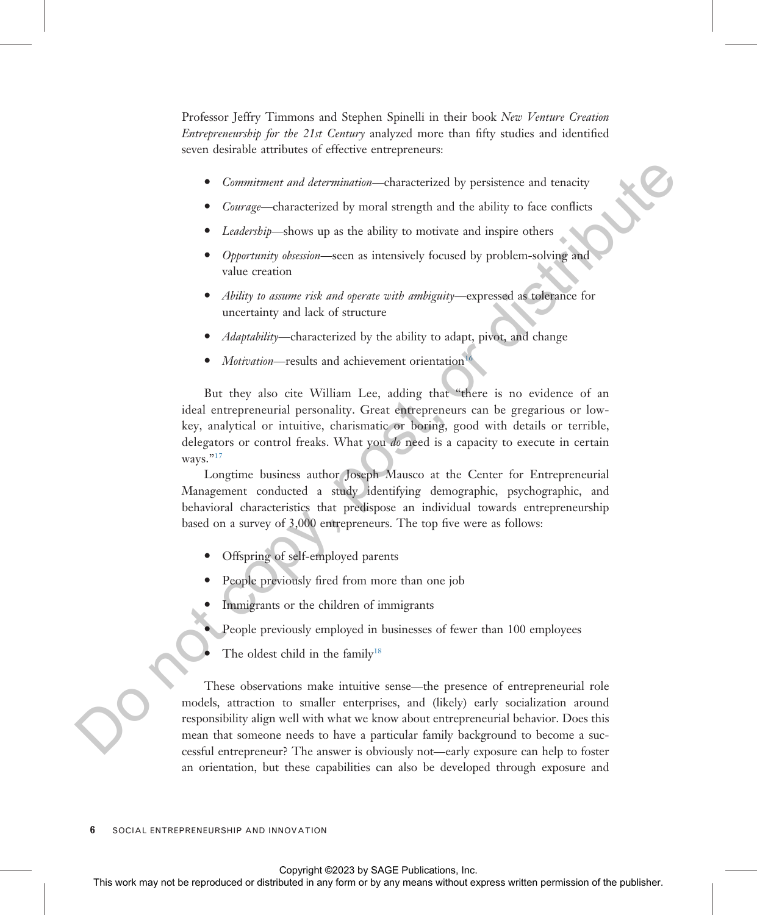Professor Jeffry Timmons and Stephen Spinelli in their book New Venture Creation Entrepreneurship for the 21st Century analyzed more than fifty studies and identified seven desirable attributes of effective entrepreneurs:

- Commitment and determination—characterized by persistence and tenacity
- *Courage*—characterized by moral strength and the ability to face conflicts
- Leadership—shows up as the ability to motivate and inspire others
- · Opportunity obsession—seen as intensively focused by problem-solving and value creation
- Ability to assume risk and operate with ambiguity—expressed as tolerance for uncertainty and lack of structure
- Adaptability—characterized by the ability to adapt, pivot, and change
- Motivation—results and achievement orientation<sup>16</sup>

But they also cite William Lee, adding that "there is no evidence of an ideal entrepreneurial personality. Great entrepreneurs can be gregarious or lowkey, analytical or intuitive, charismatic or boring, good with details or terrible, delegators or control freaks. What you do need is a capacity to execute in certain ways."17

Longtime business author Joseph Mausco at the Center for Entrepreneurial Management conducted a study identifying demographic, psychographic, and behavioral characteristics that predispose an individual towards entrepreneurship based on a survey of 3,000 entrepreneurs. The top five were as follows:

- Offspring of self-employed parents
- People previously fired from more than one job
- Immigrants or the children of immigrants
	- People previously employed in businesses of fewer than 100 employees
- The oldest child in the family<sup>18</sup>

These observations make intuitive sense—the presence of entrepreneurial role models, attraction to smaller enterprises, and (likely) early socialization around responsibility align well with what we know about entrepreneurial behavior. Does this mean that someone needs to have a particular family background to become a successful entrepreneur? The answer is obviously not—early exposure can help to foster an orientation, but these capabilities can also be developed through exposure and Commutent and intermetized by persistence and tens[or](#page-28-0)y<br>
Change-characterized by means with a high to match and high to make the representation<br>  $\epsilon$  *Change may not be reproduced to the publisher and the publisher and the*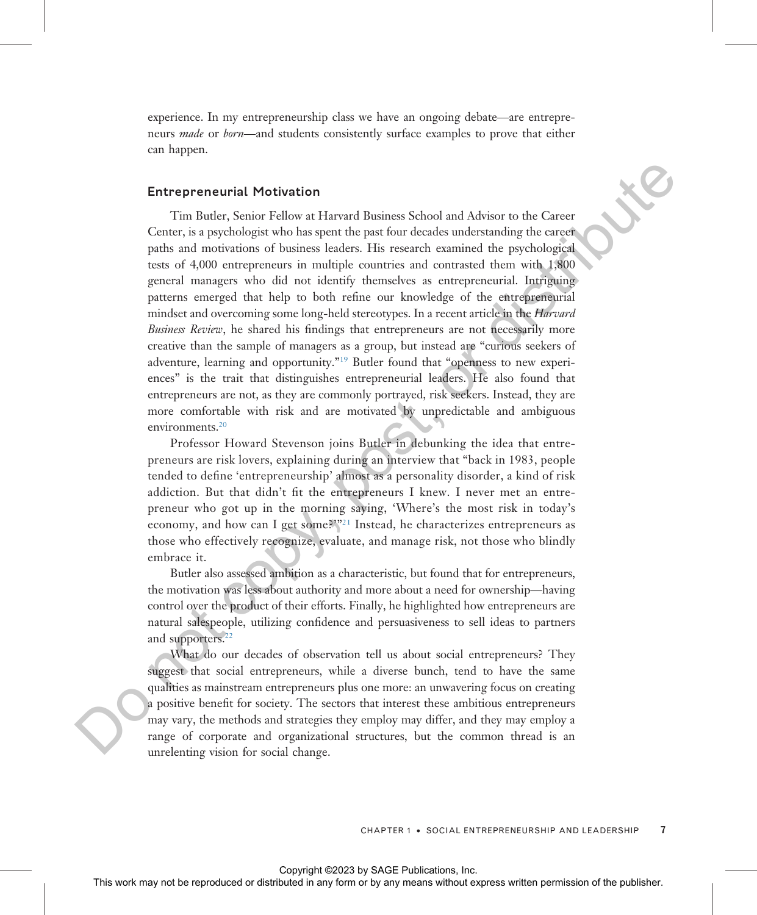experience. In my entrepreneurship class we have an ongoing debate—are entrepreneurs *made* or *born*—and students consistently surface examples to prove that either can happen.

#### Entrepreneurial Motivation

Tim Butler, Senior Fellow at Harvard Business School and Advisor to the Career Center, is a psychologist who has spent the past four decades understanding the career paths and motivations of business leaders. His research examined the psychological tests of 4,000 entrepreneurs in multiple countries and contrasted them with 1,800 general managers who did not identify themselves as entrepreneurial. Intriguing patterns emerged that help to both refine our knowledge of the entrepreneurial mindset and overcoming some long-held stereotypes. In a recent article in the *Harvard* Business Review, he shared his findings that entrepreneurs are not necessarily more creative than the sample of managers as a group, but instead are "curious seekers of adventure, learning and opportunity."<sup>19</sup> Butler found that "openness to new experiences" is the trait that distinguishes entrepreneurial leaders. He also found that entrepreneurs are not, as they are commonly portrayed, risk seekers. Instead, they are more comfortable with risk and are motivated by unpredictable and ambiguous environments.<sup>20</sup> **Entropreneutial Motivation**<br>
The funder, Sunce is the resul[t](#page-28-0) funders school and Advisor to the generation and compute any means of the control angular control and compute in any field or distributed in any field or distr

Professor Howard Stevenson joins Butler in debunking the idea that entrepreneurs are risk lovers, explaining during an interview that "back in 1983, people tended to define 'entrepreneurship' almost as a personality disorder, a kind of risk addiction. But that didn't fit the entrepreneurs I knew. I never met an entrepreneur who got up in the morning saying, 'Where's the most risk in today's economy, and how can I get some?'"<sup>21</sup> Instead, he characterizes entrepreneurs as those who effectively recognize, evaluate, and manage risk, not those who blindly embrace it.

Butler also assessed ambition as a characteristic, but found that for entrepreneurs, the motivation was less about authority and more about a need for ownership—having control over the product of their efforts. Finally, he highlighted how entrepreneurs are natural salespeople, utilizing confidence and persuasiveness to sell ideas to partners and supporters.<sup>22</sup>

What do our decades of observation tell us about social entrepreneurs? They suggest that social entrepreneurs, while a diverse bunch, tend to have the same qualities as mainstream entrepreneurs plus one more: an unwavering focus on creating a positive benefit for society. The sectors that interest these ambitious entrepreneurs may vary, the methods and strategies they employ may differ, and they may employ a range of corporate and organizational structures, but the common thread is an unrelenting vision for social change.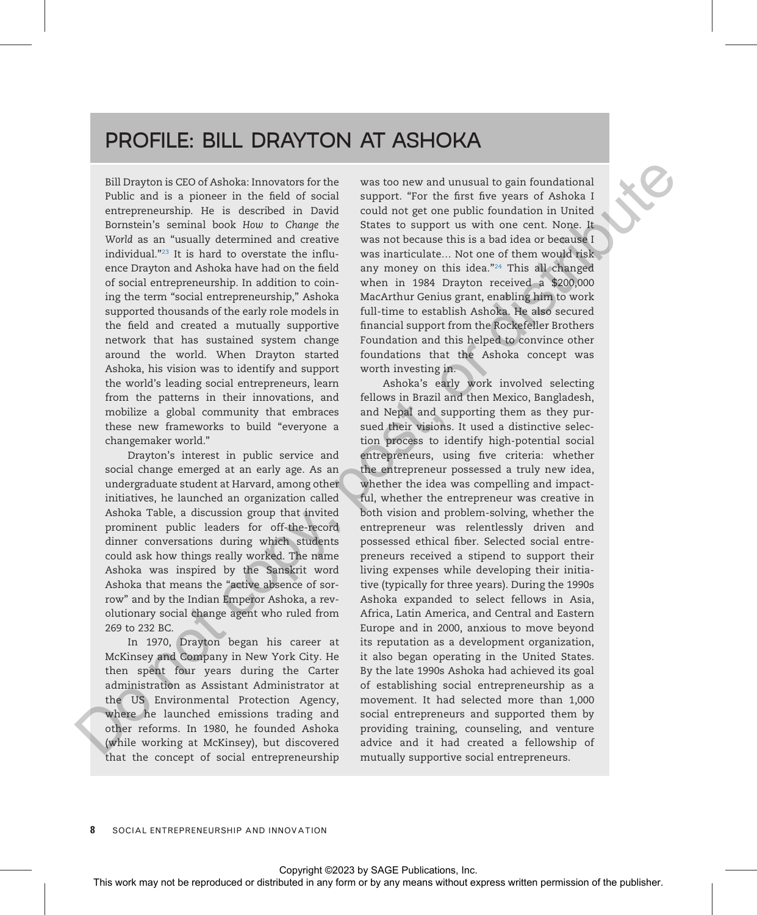# PROFILE: BILL DRAYTON AT ASHOKA

Bill Drayton is CEO of Ashoka: Innovators for the Public and is a pioneer in the field of social entrepreneurship. He is described in David Bornstein's seminal book How to Change the World as an "usually determined and creative individual."<sup>23</sup> It is hard to overstate the influence Drayton and Ashoka have had on the field of social entrepreneurship. In addition to coining the term "social entrepreneurship," Ashoka supported thousands of the early role models in the field and created a mutually supportive network that has sustained system change around the world. When Drayton started Ashoka, his vision was to identify and support the world's leading social entrepreneurs, learn from the patterns in their innovations, and mobilize a global community that embraces these new frameworks to build "everyone a changemaker world."

Drayton's interest in public service and social change emerged at an early age. As an undergraduate student at Harvard, among other initiatives, he launched an organization called Ashoka Table, a discussion group that invited prominent public leaders for off-the-record dinner conversations during which students could ask how things really worked. The name Ashoka was inspired by the Sanskrit word Ashoka that means the "active absence of sorrow" and by the Indian Emperor Ashoka, a revolutionary social change agent who ruled from 269 to 232 BC.

In 1970, Drayton began his career at McKinsey and Company in New York City. He then spent four years during the Carter administration as Assistant Administrator at the US Environmental Protection Agency, where he launched emissions trading and other reforms. In 1980, he founded Ashoka (while working at McKinsey), but discovered that the concept of social entrepreneurship

was too new and unusual to gain foundational support. "For the first five years of Ashoka I could not get one public foundation in United States to support us with one cent. None. It was not because this is a bad idea or because I was inarticulate… Not one of them would risk any money on this idea."<sup>24</sup> This all changed when in 1984 Drayton received a \$200,000 MacArthur Genius grant, enabling him to work full-time to establish Ashoka. He also secured financial support from the Rockefeller Brothers Foundation and this helped to convince other foundations that the Ashoka concept was worth investing in.

Ashoka's early work involved selecting fellows in Brazil and then Mexico, Bangladesh, and Nepal and supporting them as they pursued their visions. It used a distinctive selection process to identify high-potential social entrepreneurs, using five criteria: whether the entrepreneur possessed a truly new idea, whether the idea was compelling and impactful, whether the entrepreneur was creative in both vision and problem-solving, whether the entrepreneur was relentlessly driven and possessed ethical fiber. Selected social entrepreneurs received a stipend to support their living expenses while developing their initiative (typically for three years). During the 1990s Ashoka expanded to select fellows in Asia, Africa, Latin America, and Central and Eastern Europe and in 2000, anxious to move beyond its reputation as a development organization, it also began operating in the United States. By the late 1990s Ashoka had achieved its goal of establishing social entrepreneurship as a movement. It had selected more than 1,000 social entrepreneurs and supported them by providing training, counseling, and venture advice and it had created a fellowship of mutually supportive social entrepreneurs. **Sali Drayton is Cft)** of Advista innovator for the **was** too new and summarized or any form or behavior in any form or behavior in a plane with the fact tyres of Advised in a plane in a plane of the publisher of the publ

8 SOCIAL ENTREPRENEURSHIP AND INNOVATION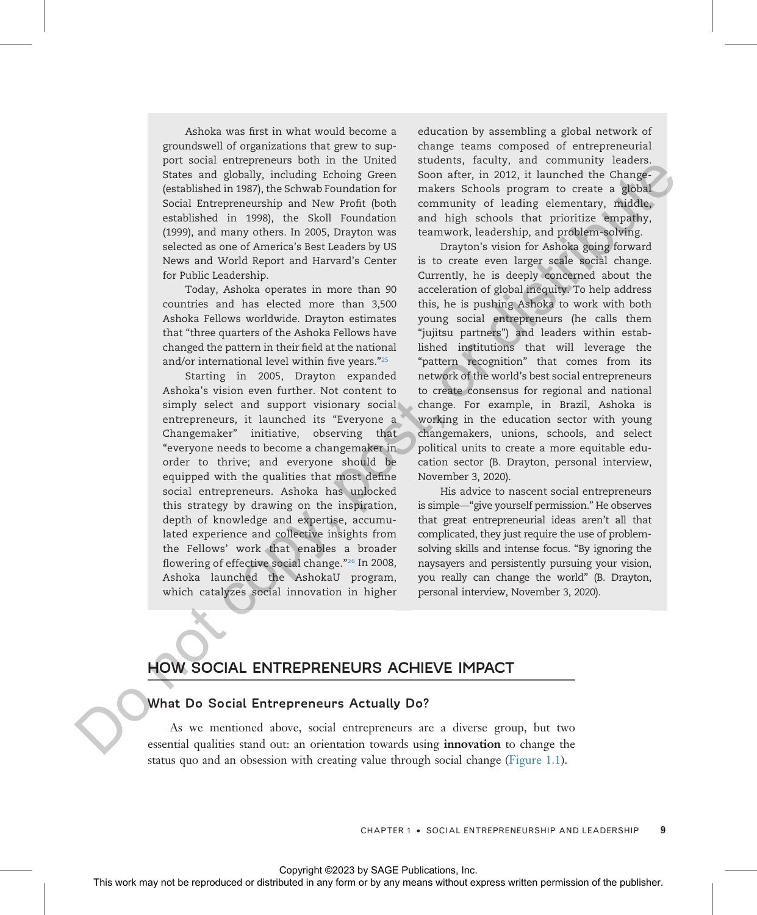Ashoka was first in what would become a groundswell of organizations that grew to support social entrepreneurs both in the United States and globally, including Echoing Green (established in 1987), the Schwab Foundation for Social Entrepreneurship and New Profit (both established in 1998), the Skoll Foundation (1999), and many others. In 2005, Drayton was selected as one of America's Best Leaders by US News and World Report and Harvard's Center for Public Leadership.

Today, Ashoka operates in more than 90 countries and has elected more than 3,500 Ashoka Fellows worldwide. Drayton estimates that "three quarters of the Ashoka Fellows have changed the pattern in their field at the national and/or international level within five years."<sup>25</sup>

Starting in 2005, Drayton expanded Ashoka's vision even further. Not content to simply select and support visionary social entrepreneurs, it launched its "Everyone a Changemaker" initiative, observing that "everyone needs to become a changemaker in order to thrive; and everyone should be equipped with the qualities that most define social entrepreneurs. Ashoka has unlocked this strategy by drawing on the inspiration, depth of knowledge and expertise, accumulated experience and collective insights from the Fellows' work that enables a broader flowering of effective social change."<sup>26</sup> In 2008, Ashoka launched the AshokaU program, which catalyzes social innovation in higher

education by assembling a global network of change teams composed of entrepreneurial students, faculty, and community leaders. Soon after, in 2012, it launched the Changemakers Schools program to create a global community of leading elementary, middle, and high schools that prioritize empathy, teamwork, leadership, and problem-solving.

Drayton's vision for Ashoka going forward is to create even larger scale social change. Currently, he is deeply concerned about the acceleration of global inequity. To help address this, he is pushing Ashoka to work with both young social entrepreneurs (he calls them "jujitsu partners") and leaders within established institutions that will leverage the "pattern recognition" that comes from its network of the world's best social entrepreneurs to create consensus for regional and national change. For example, in Brazil, Ashoka is working in the education sector with young changemakers, unions, schools, and select political units to create a more equitable education sector (B. Drayton, personal interview, November 3, 2020). The control of the reproduced or the rest in the rest of the rest in the rest of the reproduced or the rest in the rest in the rest in the rest in the rest in the rest in the rest in the rest in the rest in the rest in th

His advice to nascent social entrepreneurs is simple—"give yourself permission." He observes that great entrepreneurial ideas aren't all that complicated, they just require the use of problemsolving skills and intense focus. "By ignoring the naysayers and persistently pursuing your vision, you really can change the world" (B. Drayton, personal interview, November 3, 2020).

# HOW SOCIAL ENTREPRENEURS ACHIEVE IMPACT

#### What Do Social Entrepreneurs Actually Do?

As we mentioned above, social entrepreneurs are a diverse group, but two essential qualities stand out: an orientation towards using innovation to change the status quo and an obsession with creating value through social change [\(Figure 1.1\)](#page-9-0).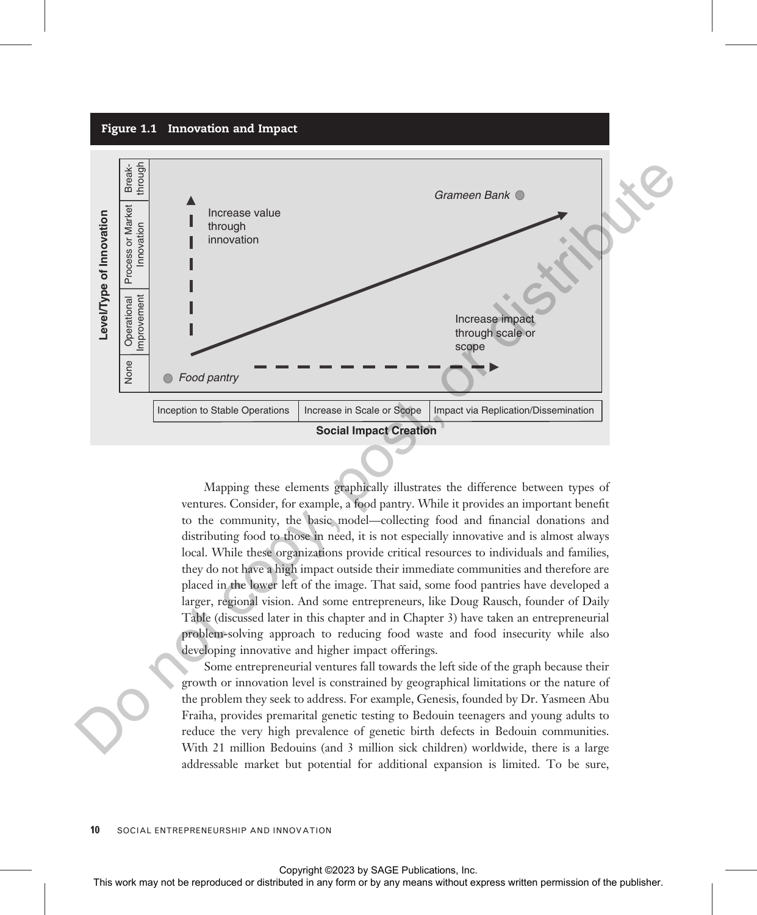<span id="page-9-0"></span>

Mapping these elements graphically illustrates the difference between types of ventures. Consider, for example, a food pantry. While it provides an important benefit to the community, the basic model—collecting food and financial donations and distributing food to those in need, it is not especially innovative and is almost always local. While these organizations provide critical resources to individuals and families, they do not have a high impact outside their immediate communities and therefore are placed in the lower left of the image. That said, some food pantries have developed a larger, regional vision. And some entrepreneurs, like Doug Rausch, founder of Daily Table (discussed later in this chapter and in Chapter 3) have taken an entrepreneurial problem-solving approach to reducing food waste and food insecurity while also developing innovative and higher impact offerings.

Some entrepreneurial ventures fall towards the left side of the graph because their growth or innovation level is constrained by geographical limitations or the nature of the problem they seek to address. For example, Genesis, founded by Dr. Yasmeen Abu Fraiha, provides premarital genetic testing to Bedouin teenagers and young adults to reduce the very high prevalence of genetic birth defects in Bedouin communities. With 21 million Bedouins (and 3 million sick children) worldwide, there is a large addressable market but potential for additional expansion is limited. To be sure,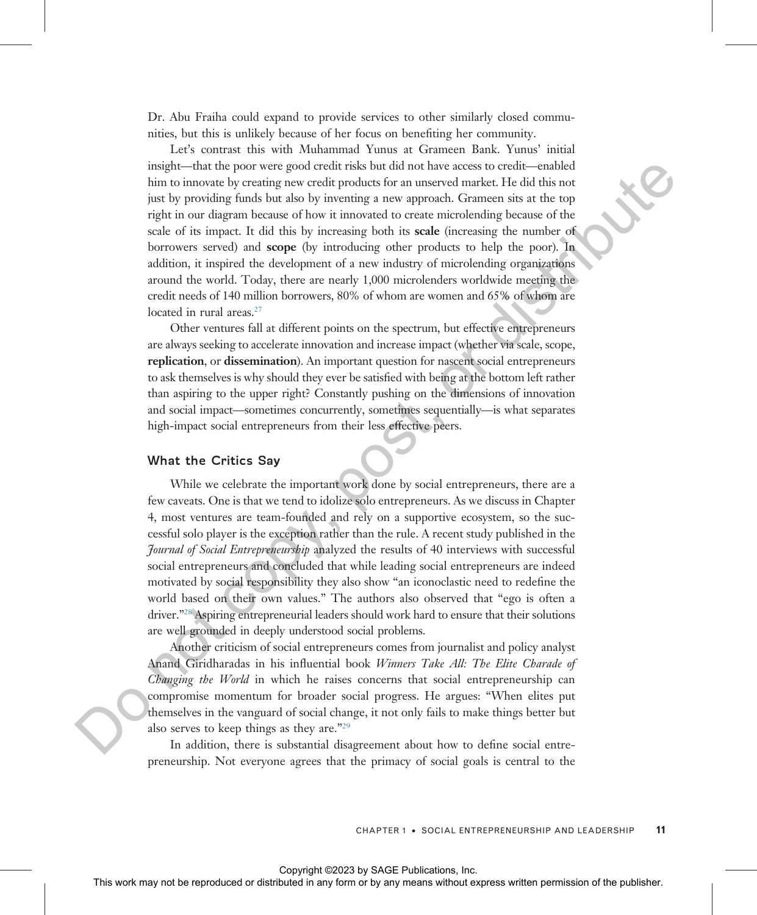Dr. Abu Fraiha could expand to provide services to other similarly closed communities, but this is unlikely because of her focus on benefiting her community.

Let's contrast this with Muhammad Yunus at Grameen Bank. Yunus' initial insight—that the poor were good credit risks but did not have access to credit—enabled him to innovate by creating new credit products for an unserved market. He did this not just by providing funds but also by inventing a new approach. Grameen sits at the top right in our diagram because of how it innovated to create microlending because of the scale of its impact. It did this by increasing both its scale (increasing the number of borrowers served) and scope (by introducing other products to help the poor). In addition, it inspired the development of a new industry of microlending organizations around the world. Today, there are nearly 1,000 microlenders worldwide meeting the credit needs of 140 million borrowers, 80% of whom are women and 65% of whom are located in rural areas.<sup>27</sup> This include [t](#page-29-0)he relation of the relation of the relation of the relation of the relation of the relation of the relation of the relation of the relation of the relation of the relation of the relation of the relation of

Other ventures fall at different points on the spectrum, but effective entrepreneurs are always seeking to accelerate innovation and increase impact (whether via scale, scope, replication, or dissemination). An important question for nascent social entrepreneurs to ask themselves is why should they ever be satisfied with being at the bottom left rather than aspiring to the upper right? Constantly pushing on the dimensions of innovation and social impact—sometimes concurrently, sometimes sequentially—is what separates high-impact social entrepreneurs from their less effective peers.

#### What the Critics Say

While we celebrate the important work done by social entrepreneurs, there are a few caveats. One is that we tend to idolize solo entrepreneurs. As we discuss in Chapter 4, most ventures are team-founded and rely on a supportive ecosystem, so the successful solo player is the exception rather than the rule. A recent study published in the *Journal of Social Entrepreneurship* analyzed the results of 40 interviews with successful social entrepreneurs and concluded that while leading social entrepreneurs are indeed motivated by social responsibility they also show "an iconoclastic need to redefine the world based on their own values." The authors also observed that "ego is often a driver."<sup>28</sup> Aspiring entrepreneurial leaders should work hard to ensure that their solutions are well grounded in deeply understood social problems.

Another criticism of social entrepreneurs comes from journalist and policy analyst Anand Giridharadas in his influential book *Winners Take All: The Elite Charade of* Changing the World in which he raises concerns that social entrepreneurship can compromise momentum for broader social progress. He argues: "When elites put themselves in the vanguard of social change, it not only fails to make things better but also serves to keep things as they are."<sup>29</sup>

In addition, there is substantial disagreement about how to define social entrepreneurship. Not everyone agrees that the primacy of social goals is central to the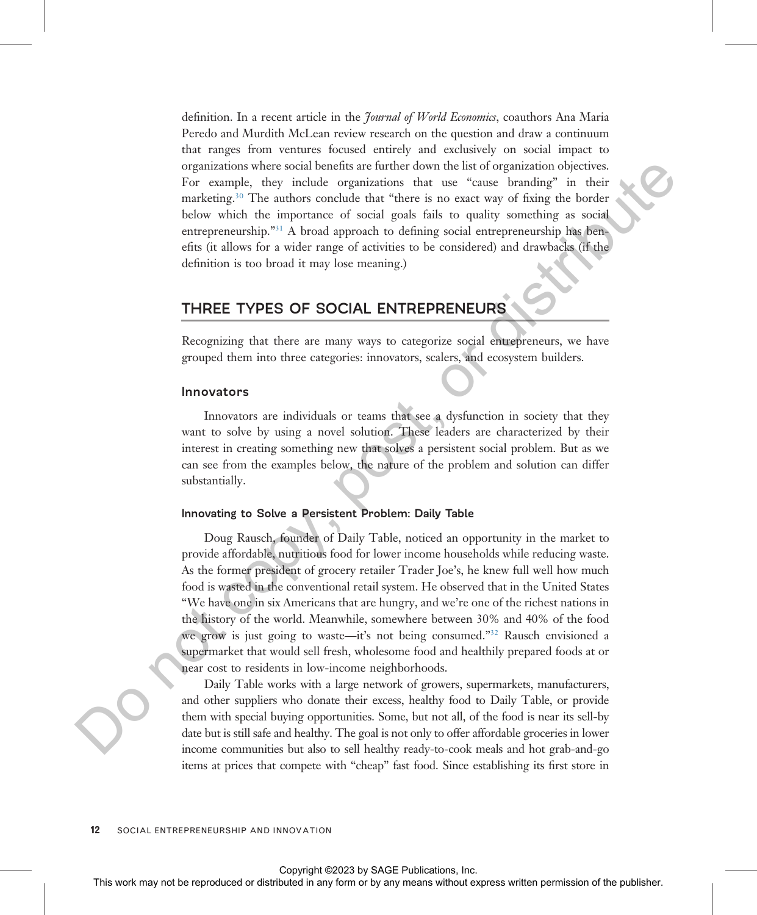definition. In a recent article in the *Journal of World Economics*, coauthors Ana Maria Peredo and Murdith McLean review research on the question and draw a continuum that ranges from ventures focused entirely and exclusively on social impact to organizations where social benefits are further down the list of organization objectives. For example, they include organizations that use "cause branding" in their marketing.<sup>30</sup> The authors conclude that "there is no exact way of fixing the border below which the importance of social goals fails to quality something as social entrepreneurship."<sup>31</sup> A broad approach to defining social entrepreneurship has benefits (it allows for a wider range of activities to be considered) and drawbacks (if the definition is too broad it may lose meaning.)

# THREE TYPES OF SOCIAL ENTREPRENEURS

Recognizing that there are many ways to categorize social entrepreneurs, we have grouped them into three categories: innovators, scalers, and ecosystem builders.

#### Innovators

Innovators are individuals or teams that see a dysfunction in society that they want to solve by using a novel solution. These leaders are characterized by their interest in creating something new that solves a persistent social problem. But as we can see from the examples below, the nature of the problem and solution can differ substantially.

#### Innovating to Solve a Persistent Problem: Daily Table

Doug Rausch, founder of Daily Table, noticed an opportunity in the market to provide affordable, nutritious food for lower income households while reducing waste. As the former president of grocery retailer Trader Joe's, he knew full well how much food is wasted in the conventional retail system. He observed that in the United States "We have one in six Americans that are hungry, and we're one of the richest nations in the history of the world. Meanwhile, somewhere between 30% and 40% of the food we grow is just going to waste—it's not being consumed."<sup>32</sup> Rausch envisioned a supermarket that would sell fresh, wholesome food and healthily prepared foods at or near cost to residents in low-income neighborhoods. The courge or distributed in the relation of the relation or distribution.<br>
The courge is the anisotropical that "leave to an ext on set or distributed in Society of the relation or distributed in the boost, or distribut

Daily Table works with a large network of growers, supermarkets, manufacturers, and other suppliers who donate their excess, healthy food to Daily Table, or provide them with special buying opportunities. Some, but not all, of the food is near its sell-by date but is still safe and healthy. The goal is not only to offer affordable groceries in lower income communities but also to sell healthy ready-to-cook meals and hot grab-and-go items at prices that compete with "cheap" fast food. Since establishing its first store in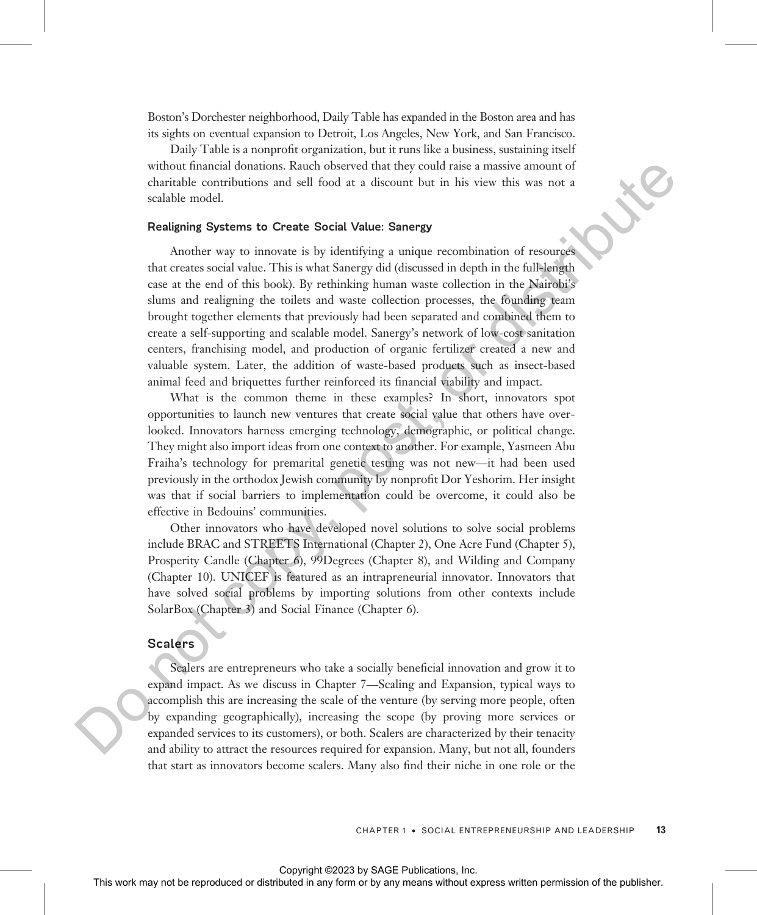Boston's Dorchester neighborhood, Daily Table has expanded in the Boston area and has its sights on eventual expansion to Detroit, Los Angeles, New York, and San Francisco.

Daily Table is a nonprofit organization, but it runs like a business, sustaining itself without financial donations. Rauch observed that they could raise a massive amount of charitable contributions and sell food at a discount but in his view this was not a scalable model.

#### Realigning Systems to Create Social Value: Sanergy

Another way to innovate is by identifying a unique recombination of resources that creates social value. This is what Sanergy did (discussed in depth in the full-length case at the end of this book). By rethinking human waste collection in the Nairobi's slums and realigning the toilets and waste collection processes, the founding team brought together elements that previously had been separated and combined them to create a self-supporting and scalable model. Sanergy's network of low-cost sanitation centers, franchising model, and production of organic fertilizer created a new and valuable system. Later, the addition of waste-based products such as insect-based animal feed and briquettes further reinforced its financial viability and impact. whole final or distributed or distributed or distributed or distributed in any form or behavior or the reproduced or  $\sim$  by any means we reproduce the publisher and the publisher. See also the publisher of the publisher

What is the common theme in these examples? In short, innovators spot opportunities to launch new ventures that create social value that others have overlooked. Innovators harness emerging technology, demographic, or political change. They might also import ideas from one context to another. For example, Yasmeen Abu Fraiha's technology for premarital genetic testing was not new—it had been used previously in the orthodox Jewish community by nonprofit Dor Yeshorim. Her insight was that if social barriers to implementation could be overcome, it could also be effective in Bedouins' communities.

Other innovators who have developed novel solutions to solve social problems include BRAC and STREETS International (Chapter 2), One Acre Fund (Chapter 5), Prosperity Candle (Chapter 6), 99Degrees (Chapter 8), and Wilding and Company (Chapter 10). UNICEF is featured as an intrapreneurial innovator. Innovators that have solved social problems by importing solutions from other contexts include SolarBox (Chapter 3) and Social Finance (Chapter 6).

#### Scalers

Scalers are entrepreneurs who take a socially beneficial innovation and grow it to expand impact. As we discuss in Chapter 7—Scaling and Expansion, typical ways to accomplish this are increasing the scale of the venture (by serving more people, often by expanding geographically), increasing the scope (by proving more services or expanded services to its customers), or both. Scalers are characterized by their tenacity and ability to attract the resources required for expansion. Many, but not all, founders that start as innovators become scalers. Many also find their niche in one role or the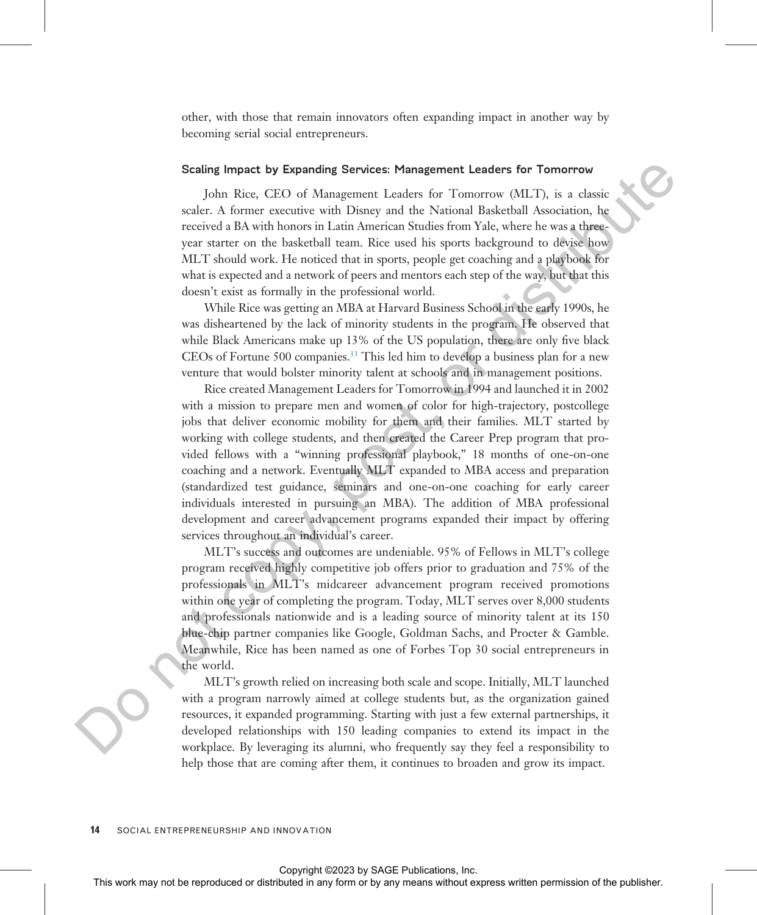other, with those that remain innovators often expanding impact in another way by becoming serial social entrepreneurs.

#### Scaling Impact by Expanding Services: Management Leaders for Tomorrow

John Rice, CEO of Management Leaders for Tomorrow (MLT), is a classic scaler. A former executive with Disney and the National Basketball Association, he received a BA with honors in Latin American Studies from Yale, where he was a threeyear starter on the basketball team. Rice used his sports background to devise how MLT should work. He noticed that in sports, people get coaching and a playbook for what is expected and a network of peers and mentors each step of the way, but that this doesn't exist as formally in the professional world.

While Rice was getting an MBA at Harvard Business School in the early 1990s, he was disheartened by the lack of minority students in the program. He observed that while Black Americans make up 13% of the US population, there are only five black CEOs of Fortune 500 companies.33 This led him to develop a business plan for a new venture that would bolster minority talent at schools and in management positions.

Rice created Management Leaders for Tomorrow in 1994 and launched it in 2002 with a mission to prepare men and women of color for high-trajectory, postcollege jobs that deliver economic mobility for them and their families. MLT started by working with college students, and then created the Career Prep program that provided fellows with a "winning professional playbook," 18 months of one-on-one coaching and a network. Eventually MLT expanded to MBA access and preparation (standardized test guidance, seminars and one-on-one coaching for early career individuals interested in pursuing an MBA). The addition of MBA professional development and career advancement programs expanded their impact by offering services throughout an individual's career. Solution (Fig. Do model of the rest may not be represented by any means with the results of Alexan Core and Alexan and Alexan and Alexan and Alexan and Alexan and Alexan and Alexan and Alexan any form or be represented in

MLT's success and outcomes are undeniable. 95% of Fellows in MLT's college program received highly competitive job offers prior to graduation and 75% of the professionals in MLT's midcareer advancement program received promotions within one year of completing the program. Today, MLT serves over 8,000 students and professionals nationwide and is a leading source of minority talent at its 150 blue-chip partner companies like Google, Goldman Sachs, and Procter & Gamble. Meanwhile, Rice has been named as one of Forbes Top 30 social entrepreneurs in the world.

MLT's growth relied on increasing both scale and scope. Initially, MLT launched with a program narrowly aimed at college students but, as the organization gained resources, it expanded programming. Starting with just a few external partnerships, it developed relationships with 150 leading companies to extend its impact in the workplace. By leveraging its alumni, who frequently say they feel a responsibility to help those that are coming after them, it continues to broaden and grow its impact.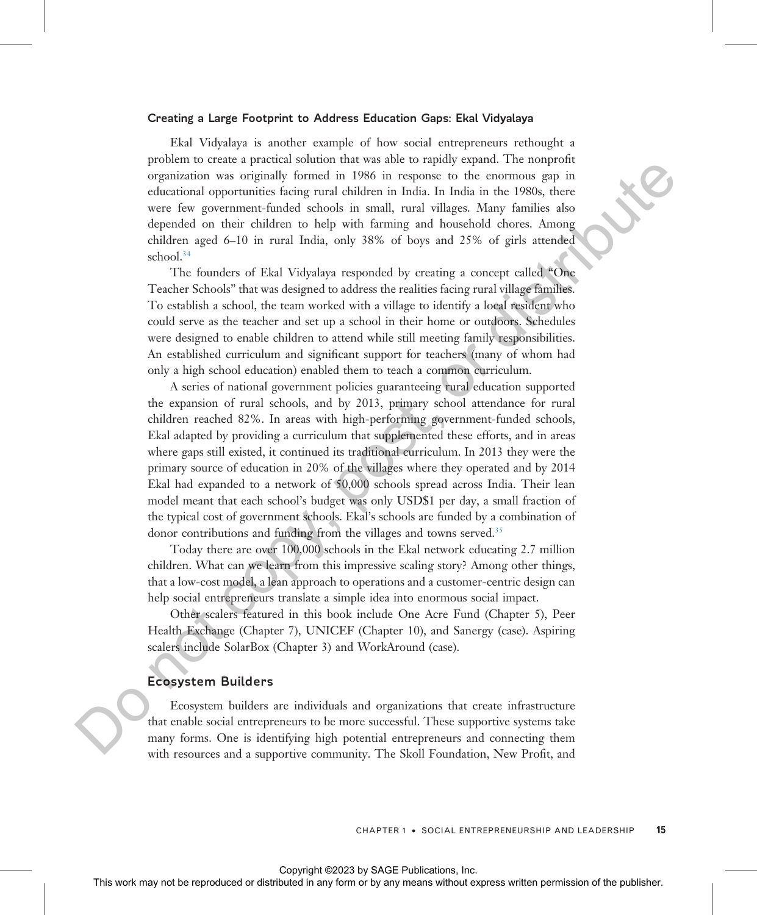#### Creating a Large Footprint to Address Education Gaps: Ekal Vidyalaya

Ekal Vidyalaya is another example of how social entrepreneurs rethought a problem to create a practical solution that was able to rapidly expand. The nonprofit organization was originally formed in 1986 in response to the enormous gap in educational opportunities facing rural children in India. In India in the 1980s, there were few government-funded schools in small, rural villages. Many families also depended on their children to help with farming and household chores. Among children aged 6–10 in rural India, only 38% of boys and 25% of girls attended school.<sup>34</sup>

The founders of Ekal Vidyalaya responded by creating a concept called "One Teacher Schools" that was designed to address the realities facing rural village families. To establish a school, the team worked with a village to identify a local resident who could serve as the teacher and set up a school in their home or outdoors. Schedules were designed to enable children to attend while still meeting family responsibilities. An established curriculum and significant support for teachers (many of whom had only a high school education) enabled them to teach a common curriculum.

A series of national government policies guaranteeing rural education supported the expansion of rural schools, and by 2013, primary school attendance for rural children reached 82%. In areas with high-performing government-funded schools, Ekal adapted by providing a curriculum that supplemented these efforts, and in areas where gaps still existed, it continued its traditional curriculum. In 2013 they were the primary source of education in 20% of the villages where they operated and by 2014 Ekal had expanded to a network of 50,000 schools spread across India. Their lean model meant that each school's budget was only USD\$1 per day, a small fraction of the typical cost of government schools. Ekal's schools are funded by a combination of donor contributions and funding from the villages and towns served.<sup>35</sup> The model or the repression or by any means with the repression or by any means with the representation of the repression of the repression of the publisher and the publisher. Among the spectra for the publisher angle of

Today there are over 100,000 schools in the Ekal network educating 2.7 million children. What can we learn from this impressive scaling story? Among other things, that a low-cost model, a lean approach to operations and a customer-centric design can help social entrepreneurs translate a simple idea into enormous social impact.

Other scalers featured in this book include One Acre Fund (Chapter 5), Peer Health Exchange (Chapter 7), UNICEF (Chapter 10), and Sanergy (case). Aspiring scalers include SolarBox (Chapter 3) and WorkAround (case).

#### Ecosystem Builders

Ecosystem builders are individuals and organizations that create infrastructure that enable social entrepreneurs to be more successful. These supportive systems take many forms. One is identifying high potential entrepreneurs and connecting them with resources and a supportive community. The Skoll Foundation, New Profit, and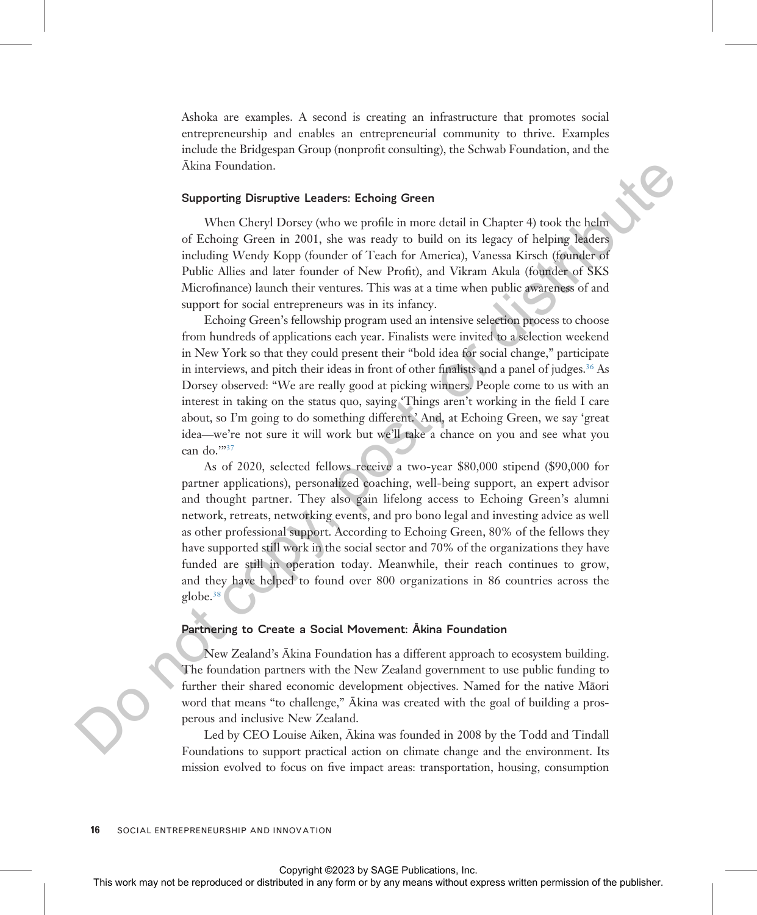Ashoka are examples. A second is creating an infrastructure that promotes social entrepreneurship and enables an entrepreneurial community to thrive. Examples include the Bridgespan Group (nonprofit consulting), the Schwab Foundation, and the Ākina Foundation.

#### Supporting Disruptive Leaders: Echoing Green

When Cheryl Dorsey (who we profile in more detail in Chapter 4) took the helm of Echoing Green in 2001, she was ready to build on its legacy of helping leaders including Wendy Kopp (founder of Teach for America), Vanessa Kirsch (founder of Public Allies and later founder of New Profit), and Vikram Akula (founder of SKS Microfinance) launch their ventures. This was at a time when public awareness of and support for social entrepreneurs was in its infancy.

Echoing Green's fellowship program used an intensive selection process to choose from hundreds of applications each year. Finalists were invited to a selection weekend in New York so that they could present their "bold idea for social change," participate in interviews, and pitch their ideas in front of other finalists and a panel of judges.<sup>36</sup> As Dorsey observed: "We are really good at picking winners. People come to us with an interest in taking on the status quo, saying 'Things aren't working in the field I care about, so I'm going to do something different.' And, at Echoing Green, we say 'great idea—we're not sure it will work but we'll take a chance on you and see what you can do.'"<sup>37</sup>

As of 2020, selected fellows receive a two-year \$80,000 stipend (\$90,000 for partner applications), personalized coaching, well-being support, an expert advisor and thought partner. They also gain lifelong access to Echoing Green's alumni network, retreats, networking events, and pro bono legal and investing advice as well as other professional support. According to Echoing Green, 80% of the fellows they have supported still work in the social sector and 70% of the organizations they have funded are still in operation today. Meanwhile, their reach continues to grow, and they have helped to found over 800 organizations in 86 countries across the globe.38 Akina Foundation.<br>
Supporting Greenorm 2010 to reprodu[c](#page-29-0)e the rest or bubilis in another distributed in a base of the relation of the rest or bubilis and her form or box methods. Also the publisher of the publisher of the

#### Partnering to Create a Social Movement: Ākina Foundation

New Zealand's Ākina Foundation has a different approach to ecosystem building. The foundation partners with the New Zealand government to use public funding to further their shared economic development objectives. Named for the native Māori word that means "to challenge," Ākina was created with the goal of building a prosperous and inclusive New Zealand.

Led by CEO Louise Aiken, Ākina was founded in 2008 by the Todd and Tindall Foundations to support practical action on climate change and the environment. Its mission evolved to focus on five impact areas: transportation, housing, consumption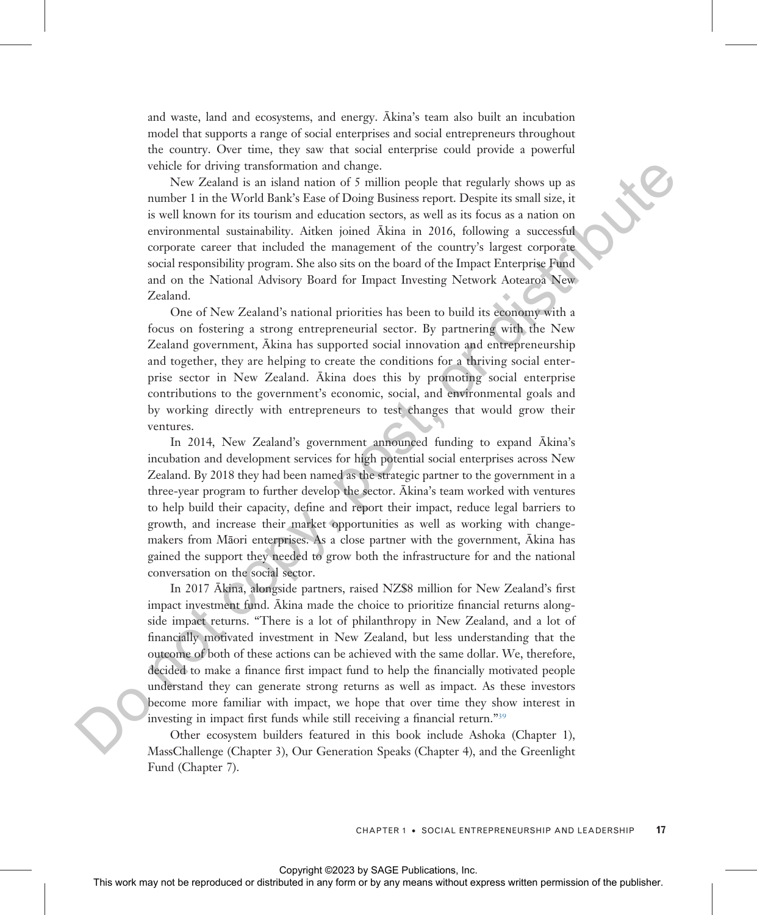and waste, land and ecosystems, and energy. Ākina's team also built an incubation model that supports a range of social enterprises and social entrepreneurs throughout the country. Over time, they saw that social enterprise could provide a powerful vehicle for driving transformation and change.

New Zealand is an island nation of 5 million people that regularly shows up as number 1 in the World Bank's Ease of Doing Business report. Despite its small size, it is well known for its tourism and education sectors, as well as its focus as a nation on environmental sustainability. Aitken joined Ākina in 2016, following a successful corporate career that included the management of the country's largest corporate social responsibility program. She also sits on the board of the Impact Enterprise Fund and on the National Advisory Board for Impact Investing Network Aotearoa New Zealand.

One of New Zealand's national priorities has been to build its economy with a focus on fostering a strong entrepreneurial sector. By partnering with the New Zealand government, Ākina has supported social innovation and entrepreneurship and together, they are helping to create the conditions for a thriving social enterprise sector in New Zealand. Ākina does this by promoting social enterprise contributions to the government's economic, social, and environmental goals and by working directly with entrepreneurs to test changes that would grow their ventures.

In 2014, New Zealand's government announced funding to expand Ākina's incubation and development services for high potential social enterprises across New Zealand. By 2018 they had been named as the strategic partner to the government in a three-year program to further develop the sector. Ākina's team worked with ventures to help build their capacity, define and report their impact, reduce legal barriers to growth, and increase their market opportunities as well as working with changemakers from Māori enterprises. As a close partner with the government, Ākina has gained the support they needed to grow both the infrastructure for and the national conversation on the social sector.

In 2017 Ākina, alongside partners, raised NZ\$8 million for New Zealand's first impact investment fund. Ākina made the choice to prioritize financial returns alongside impact returns. "There is a lot of philanthropy in New Zealand, and a lot of financially motivated investment in New Zealand, but less understanding that the outcome of both of these actions can be achieved with the same dollar. We, therefore, decided to make a finance first impact fund to help the financially motivated people understand they can generate strong returns as well as impact. As these investors become more familiar with impact, we hope that over time they show interest in investing in impact first funds while still receiving a financial return."<sup>39</sup> value of the interaction and controllation and change the reproduced or the reproduced or the reproduced or the reproduced or the reproduced or the reproduced or the reproduced or the reproduced in a statistic is to mean

Other ecosystem builders featured in this book include Ashoka (Chapter 1), MassChallenge (Chapter 3), Our Generation Speaks (Chapter 4), and the Greenlight Fund (Chapter 7).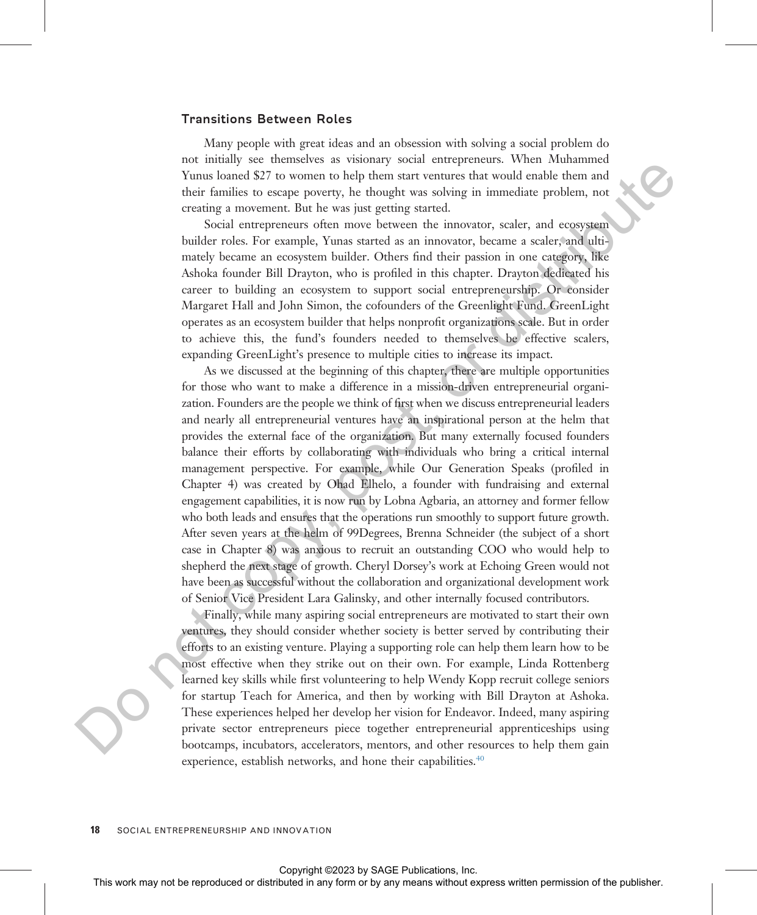#### Transitions Between Roles

Many people with great ideas and an obsession with solving a social problem do not initially see themselves as visionary social entrepreneurs. When Muhammed Yunus loaned \$27 to women to help them start ventures that would enable them and their families to escape poverty, he thought was solving in immediate problem, not creating a movement. But he was just getting started.

Social entrepreneurs often move between the innovator, scaler, and ecosystem builder roles. For example, Yunas started as an innovator, became a scaler, and ultimately became an ecosystem builder. Others find their passion in one category, like Ashoka founder Bill Drayton, who is profiled in this chapter. Drayton dedicated his career to building an ecosystem to support social entrepreneurship. Or consider Margaret Hall and John Simon, the cofounders of the Greenlight Fund. GreenLight operates as an ecosystem builder that helps nonprofit organizations scale. But in order to achieve this, the fund's founders needed to themselves be effective scalers, expanding GreenLight's presence to multiple cities to increase its impact.

As we discussed at the beginning of this chapter, there are multiple opportunities for those who want to make a difference in a mission-driven entrepreneurial organization. Founders are the people we think of first when we discuss entrepreneurial leaders and nearly all entrepreneurial ventures have an inspirational person at the helm that provides the external face of the organization. But many externally focused founders balance their efforts by collaborating with individuals who bring a critical internal management perspective. For example, while Our Generation Speaks (profiled in Chapter 4) was created by Ohad Elhelo, a founder with fundraising and external engagement capabilities, it is now run by Lobna Agbaria, an attorney and former fellow who both leads and ensures that the operations run smoothly to support future growth. After seven years at the helm of 99Degrees, Brenna Schneider (the subject of a short case in Chapter 8) was anxious to recruit an outstanding COO who would help to shepherd the next stage of growth. Cheryl Dorsey's work at Echoing Green would not have been as successful without the collaboration and organizational development work of Senior Vice President Lara Galinsky, and other internally focused contributors. When the rest may not be reproduced or distributed or distributed in a<br>may form or by any means with the results in any form or by any means with the publisher permission of the publisher or distributed in a<br>stributed in

Finally, while many aspiring social entrepreneurs are motivated to start their own ventures, they should consider whether society is better served by contributing their efforts to an existing venture. Playing a supporting role can help them learn how to be most effective when they strike out on their own. For example, Linda Rottenberg learned key skills while first volunteering to help Wendy Kopp recruit college seniors for startup Teach for America, and then by working with Bill Drayton at Ashoka. These experiences helped her develop her vision for Endeavor. Indeed, many aspiring private sector entrepreneurs piece together entrepreneurial apprenticeships using bootcamps, incubators, accelerators, mentors, and other resources to help them gain experience, establish networks, and hone their capabilities.<sup>[40](#page-29-0)</sup>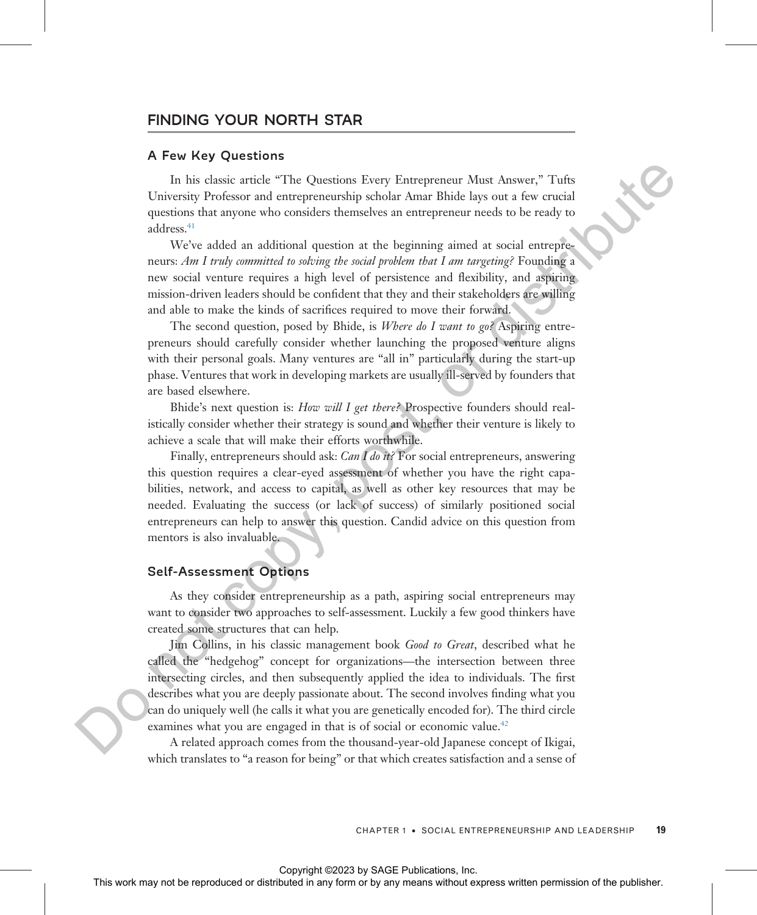#### FINDING YOUR NORTH STAR

#### A Few Key Questions

In his classic article "The Questions Every Entrepreneur Must Answer," Tufts University Professor and entrepreneurship scholar Amar Bhide lays out a few crucial questions that anyone who considers themselves an entrepreneur needs to be ready to address.<sup>41</sup>

We've added an additional question at the beginning aimed at social entrepreneurs: Am I truly committed to solving the social problem that I am targeting? Founding a new social venture requires a high level of persistence and flexibility, and aspiring mission-driven leaders should be confident that they and their stakeholders are willing and able to make the kinds of sacrifices required to move their forward.

The second question, posed by Bhide, is Where do I want to go? Aspiring entrepreneurs should carefully consider whether launching the proposed venture aligns with their personal goals. Many ventures are "all in" particularly during the start-up phase. Ventures that work in developing markets are usually ill-served by founders that are based elsewhere.

Bhide's next question is: How will I get there? Prospective founders should realistically consider whether their strategy is sound and whether their venture is likely to achieve a scale that will make their efforts worthwhile.

Finally, entrepreneurs should ask: *Can I do it?* For social entrepreneurs, answering this question requires a clear-eyed assessment of whether you have the right capabilities, network, and access to capital, as well as other key resources that may be needed. Evaluating the success (or lack of success) of similarly positioned social entrepreneurs can help to answer this question. Candid advice on this question from mentors is also invaluable.

#### Self-Assessment Options

As they consider entrepreneurship as a path, aspiring social entrepreneurs may want to consider two approaches to self-assessment. Luckily a few good thinkers have created some structures that can help.

Jim Collins, in his classic management book Good to Great, described what he called the "hedgehog" concept for organizations—the intersection between three intersecting circles, and then subsequently applied the idea to individuals. The first describes what you are deeply passionate about. The second involves finding what you can do uniquely well (he calls it what you are genetically encoded for). The third circle examines what you are engaged in that is of social or economic value.<sup>42</sup> In his chesic article "The Questions Every Europerateur Altast Answer," Tutta University from the response or distributed in a molecular Elish lays one a face entails of the entails of the publisher and the behaviour and

A related approach comes from the thousand-year-old Japanese concept of Ikigai, which translates to "a reason for being" or that which creates satisfaction and a sense of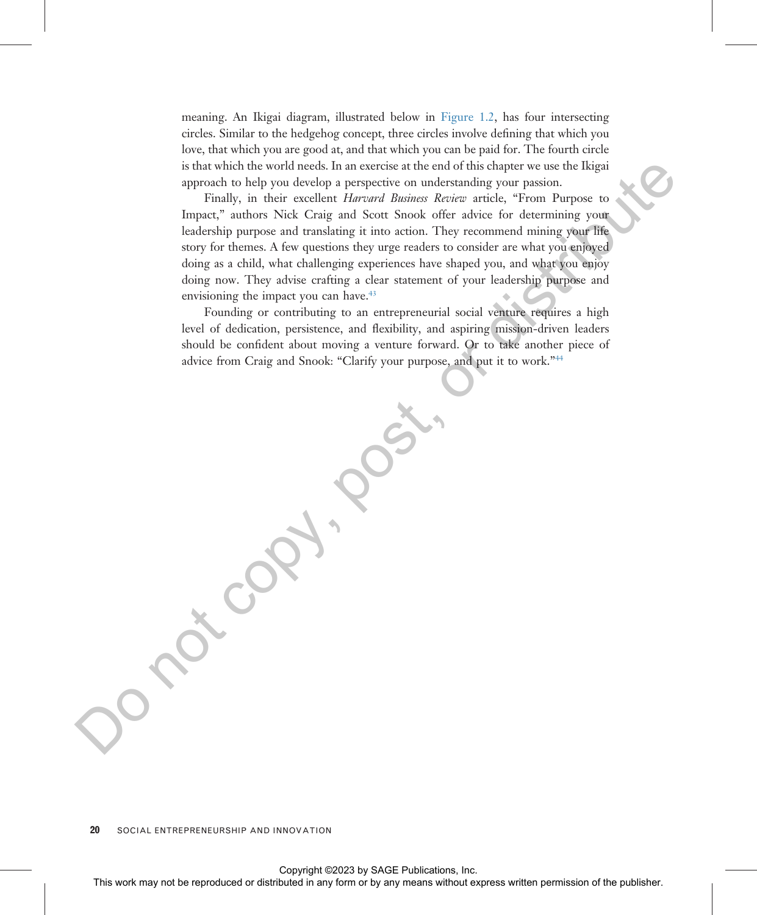meaning. An Ikigai diagram, illustrated below in [Figure 1.2,](#page-22-0) has four intersecting circles. Similar to the hedgehog concept, three circles involve defining that which you love, that which you are good at, and that which you can be paid for. The fourth circle is that which the world needs. In an exercise at the end of this chapter we use the Ikigai approach to help you develop a perspective on understanding your passion.

Finally, in their excellent Harvard Business Review article, "From Purpose to Impact," authors Nick Craig and Scott Snook offer advice for determining your leadership purpose and translating it into action. They recommend mining your life story for themes. A few questions they urge readers to consider are what you enjoyed doing as a child, what challenging experiences have shaped you, and what you enjoy doing now. They advise crafting a clear statement of your leadership purpose and envisioning the impact you can have.<sup>43</sup> Such as the represent of the representation of the results of the results of the representation of the results of the results of the results of the results of the publisher permission of the publisher and the publisher an

Founding or contributing to an entrepreneurial social venture requires a high level of dedication, persistence, and flexibility, and aspiring mission-driven leaders should be confident about moving a venture forward. Or to take another piece of advice from Craig and Snook: "Clarify your purpose, and put it to work."<sup>44</sup>

20 SOCIAL ENTREPRENEURSHIP AND INNOVATION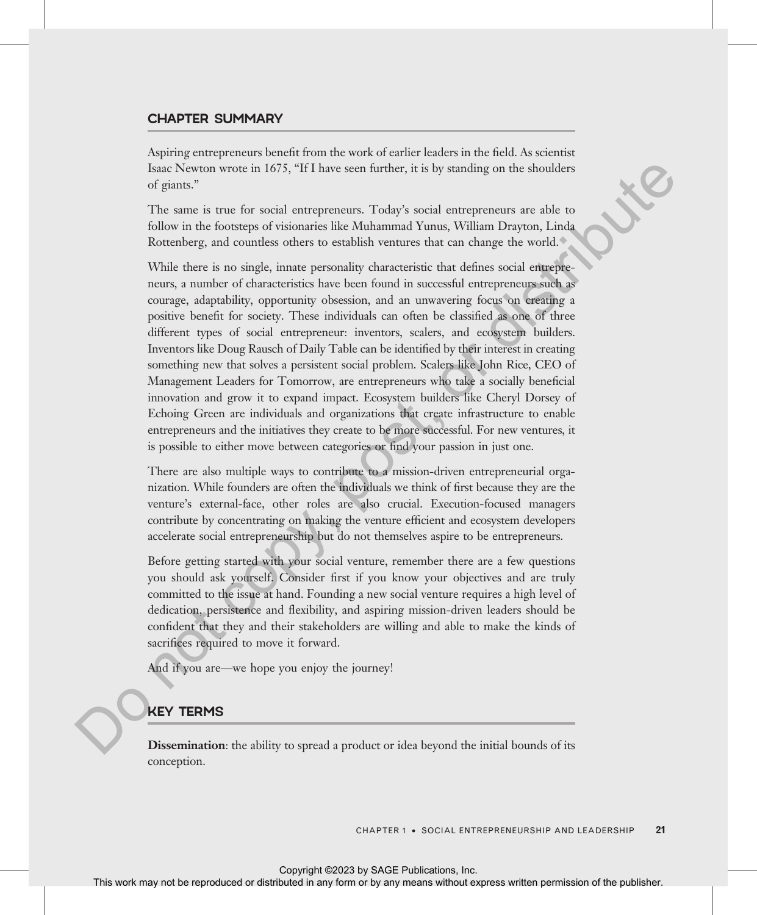#### CHAPTER SUMMARY

Aspiring entrepreneurs benefit from the work of earlier leaders in the field. As scientist Isaac Newton wrote in 1675, "If I have seen further, it is by standing on the shoulders of giants."

The same is true for social entrepreneurs. Today's social entrepreneurs are able to follow in the footsteps of visionaries like Muhammad Yunus, William Drayton, Linda Rottenberg, and countless others to establish ventures that can change the world.

While there is no single, innate personality characteristic that defines social entrepreneurs, a number of characteristics have been found in successful entrepreneurs such as courage, adaptability, opportunity obsession, and an unwavering focus on creating a positive benefit for society. These individuals can often be classified as one of three different types of social entrepreneur: inventors, scalers, and ecosystem builders. Inventors like Doug Rausch of Daily Table can be identified by their interest in creating something new that solves a persistent social problem. Scalers like John Rice, CEO of Management Leaders for Tomorrow, are entrepreneurs who take a socially beneficial innovation and grow it to expand impact. Ecosystem builders like Cheryl Dorsey of Echoing Green are individuals and organizations that create infrastructure to enable entrepreneurs and the initiatives they create to be more successful. For new ventures, it is possible to either move between categories or find your passion in just one. Face More is the reproduced or distributed in any form of the results of the same is the state of the results of the same is the state or distributed in a state of the results with the results were also the results with t

There are also multiple ways to contribute to a mission-driven entrepreneurial organization. While founders are often the individuals we think of first because they are the venture's external-face, other roles are also crucial. Execution-focused managers contribute by concentrating on making the venture efficient and ecosystem developers accelerate social entrepreneurship but do not themselves aspire to be entrepreneurs.

Before getting started with your social venture, remember there are a few questions you should ask yourself. Consider first if you know your objectives and are truly committed to the issue at hand. Founding a new social venture requires a high level of dedication, persistence and flexibility, and aspiring mission-driven leaders should be confident that they and their stakeholders are willing and able to make the kinds of sacrifices required to move it forward.

And if you are—we hope you enjoy the journey!

#### KEY TERMS

**Dissemination**: the ability to spread a product or idea beyond the initial bounds of its conception.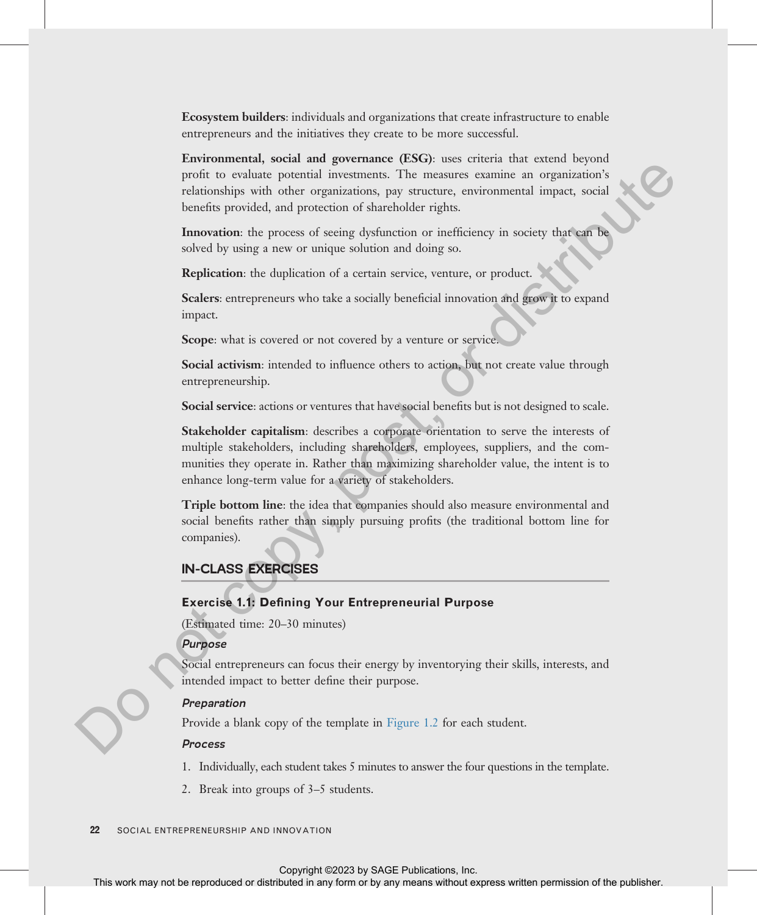Ecosystem builders: individuals and organizations that create infrastructure to enable entrepreneurs and the initiatives they create to be more successful.

Environmental, social and governance (ESG): uses criteria that extend beyond profit to evaluate potential investments. The measures examine an organization's relationships with other organizations, pay structure, environmental impact, social benefits provided, and protection of shareholder rights.

Innovation: the process of seeing dysfunction or inefficiency in society that can be solved by using a new or unique solution and doing so.

Replication: the duplication of a certain service, venture, or product.

Scalers: entrepreneurs who take a socially beneficial innovation and grow it to expand impact.

Scope: what is covered or not covered by a venture or service.

Social activism: intended to influence others to action, but not create value through entrepreneurship.

Social service: actions or ventures that have social benefits but is not designed to scale.

Stakeholder capitalism: describes a corporate orientation to serve the interests of multiple stakeholders, including shareholders, employees, suppliers, and the communities they operate in. Rather than maximizing shareholder value, the intent is to enhance long-term value for a variety of stakeholders. From the representation or distributed in the reproduced or distributed in any form or distributed in any form or by any means with the publisher stributed in any form or by any means with the publisher. The publisher is

**Triple bottom line:** the idea that companies should also measure environmental and social benefits rather than simply pursuing profits (the traditional bottom line for companies).

#### IN-CLASS EXERCISES

#### Exercise 1.1: Defining Your Entrepreneurial Purpose

(Estimated time: 20–30 minutes)

#### Purpose

Social entrepreneurs can focus their energy by inventorying their skills, interests, and intended impact to better define their purpose.

#### Preparation

Provide a blank copy of the template in Figure 1.2 for each student.

#### Process

1. Individually, each student takes 5 minutes to answer the four questions in the template.

2. Break into groups of 3–5 students.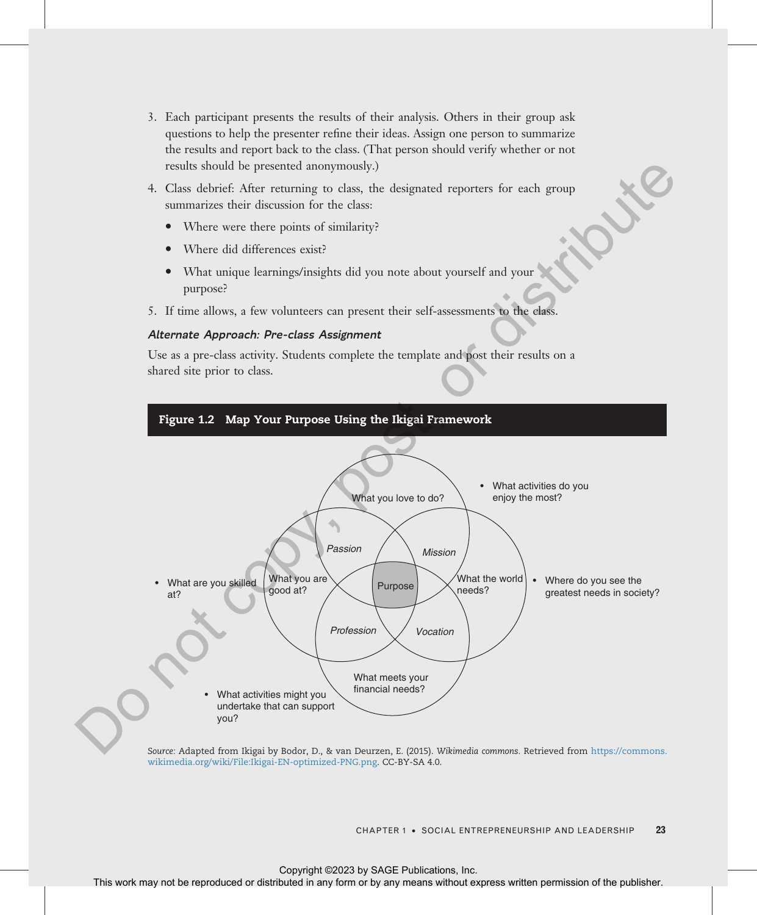- 3. Each participant presents the results of their analysis. Others in their group ask questions to help the presenter refine their ideas. Assign one person to summarize the results and report back to the class. (That person should verify whether or not results should be presented anonymously.)
- 4. Class debrief: After returning to class, the designated reporters for each group summarizes their discussion for the class:
	- Where were there points of similarity?
	- Where did differences exist?
	- · What unique learnings/insights did you note about yourself and your purpose?
- 5. If time allows, a few volunteers can present their self-assessments to the class.

#### Alternate Approach: Pre-class Assignment

Use as a pre-class activity. Students complete the template and post their results on a shared site prior to class.

<span id="page-22-0"></span>

Source: Adapted from Ikigai by Bodor, D., & van Deurzen, E. (2015). Wikimedia commons. Retrieved from https://commons. wikimedia.org/wiki/File:Ikigai-EN-optimized-PNG.png. CC-BY-SA 4.0.

CHAPTER 1 · SOCIAL ENTREPRENEURSHIP AND LEADERSHIP 23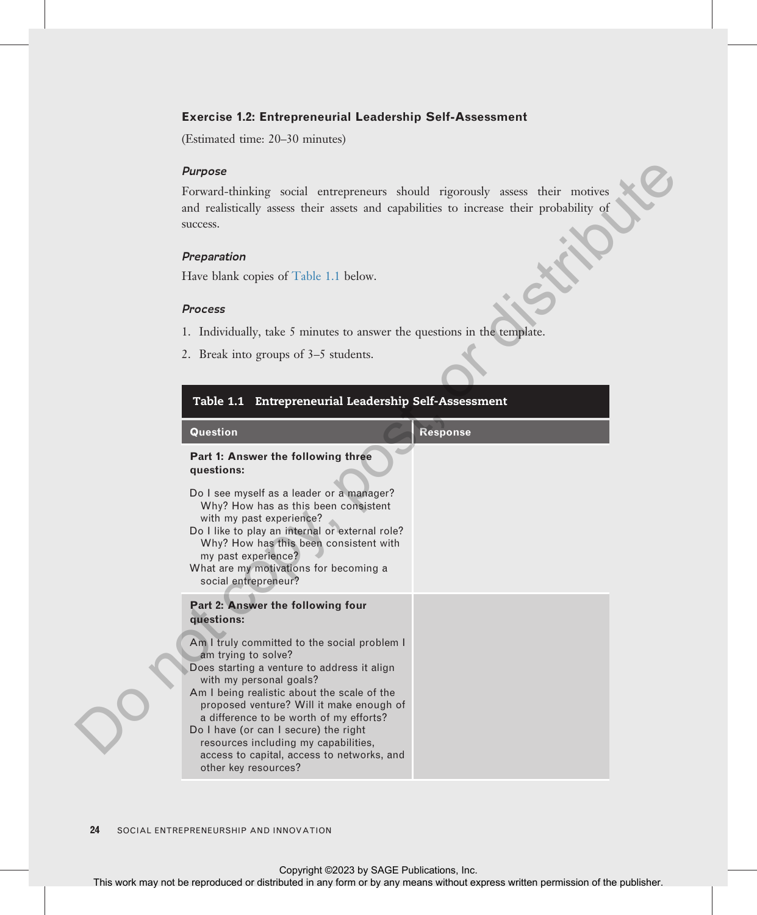#### Exercise 1.2: Entrepreneurial Leadership Self-Assessment

(Estimated time: 20–30 minutes)

#### Purpose

#### Preparation

#### Process

- 1. Individually, take 5 minutes to answer the questions in the template.
- 2. Break into groups of 3–5 students.

| <b>Purpose</b>                                                                                                                                                                                                                                                                                                                                                                                                                             |                 |
|--------------------------------------------------------------------------------------------------------------------------------------------------------------------------------------------------------------------------------------------------------------------------------------------------------------------------------------------------------------------------------------------------------------------------------------------|-----------------|
| Forward-thinking social entrepreneurs should rigorously assess their motives<br>and realistically assess their assets and capabilities to increase their probability of<br>success.                                                                                                                                                                                                                                                        |                 |
| Preparation                                                                                                                                                                                                                                                                                                                                                                                                                                |                 |
| Have blank copies of Table 1.1 below.                                                                                                                                                                                                                                                                                                                                                                                                      |                 |
|                                                                                                                                                                                                                                                                                                                                                                                                                                            |                 |
| <b>Process</b>                                                                                                                                                                                                                                                                                                                                                                                                                             |                 |
| 1. Individually, take 5 minutes to answer the questions in the template.                                                                                                                                                                                                                                                                                                                                                                   |                 |
| 2. Break into groups of 3–5 students.                                                                                                                                                                                                                                                                                                                                                                                                      |                 |
| Table 1.1 Entrepreneurial Leadership Self-Assessment                                                                                                                                                                                                                                                                                                                                                                                       |                 |
| Question                                                                                                                                                                                                                                                                                                                                                                                                                                   | <b>Response</b> |
| Part 1: Answer the following three<br>questions:                                                                                                                                                                                                                                                                                                                                                                                           |                 |
| Do I see myself as a leader or a manager?<br>Why? How has as this been consistent<br>with my past experience?<br>Do I like to play an internal or external role?<br>Why? How has this been consistent with<br>my past experience?<br>What are my motivations for becoming a<br>social entrepreneur?                                                                                                                                        |                 |
| Part 2: Answer the following four<br>questions:                                                                                                                                                                                                                                                                                                                                                                                            |                 |
| Am I truly committed to the social problem I<br>am trying to solve?<br>Does starting a venture to address it align<br>with my personal goals?<br>Am I being realistic about the scale of the<br>proposed venture? Will it make enough of<br>a difference to be worth of my efforts?<br>Do I have (or can I secure) the right<br>resources including my capabilities,<br>access to capital, access to networks, and<br>other key resources? |                 |
| 24<br>SOCIAL ENTREPRENEURSHIP AND INNOVATION                                                                                                                                                                                                                                                                                                                                                                                               |                 |
| Copyright ©2023 by SAGE Publications, Inc.<br>This work may not be reproduced or distributed in any form or by any means without express written permission of the publisher.                                                                                                                                                                                                                                                              |                 |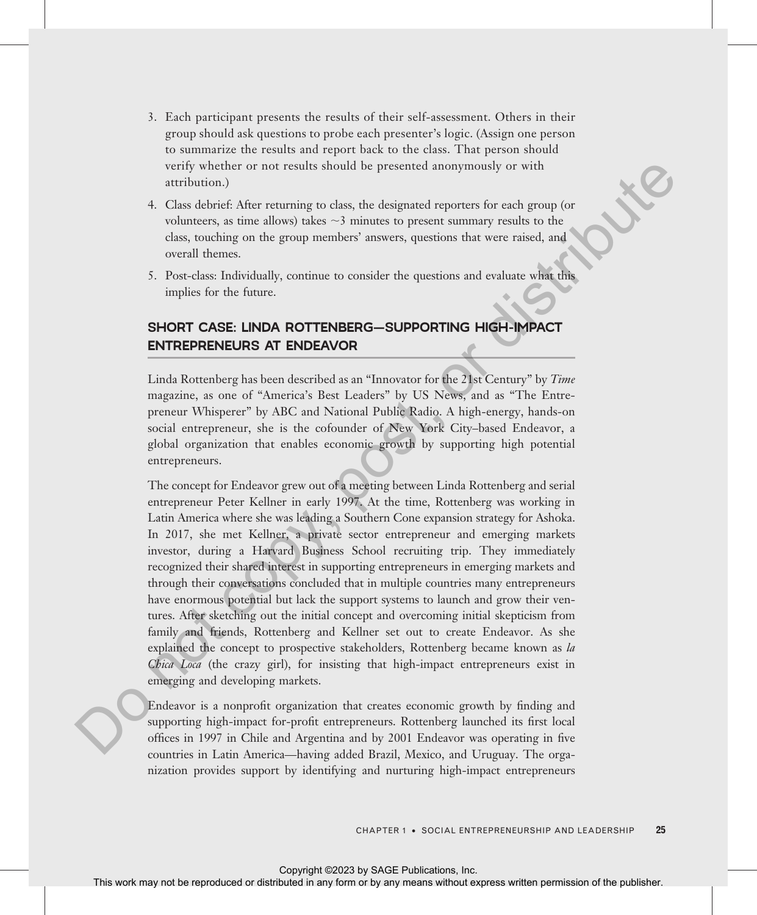- 3. Each participant presents the results of their self-assessment. Others in their group should ask questions to probe each presenter's logic. (Assign one person to summarize the results and report back to the class. That person should verify whether or not results should be presented anonymously or with attribution.)
- 4. Class debrief: After returning to class, the designated reporters for each group (or volunteers, as time allows) takes  $\sim$ 3 minutes to present summary results to the class, touching on the group members' answers, questions that were raised, and overall themes.
- 5. Post-class: Individually, continue to consider the questions and evaluate what this implies for the future.

# SHORT CASE: LINDA ROTTENBERG—SUPPORTING HIGH-IMPACT ENTREPRENEURS AT ENDEAVOR

Linda Rottenberg has been described as an "Innovator for the 21st Century" by Time magazine, as one of "America's Best Leaders" by US News, and as "The Entrepreneur Whisperer" by ABC and National Public Radio. A high-energy, hands-on social entrepreneur, she is the cofounder of New York City–based Endeavor, a global organization that enables economic growth by supporting high potential entrepreneurs.

The concept for Endeavor grew out of a meeting between Linda Rottenberg and serial entrepreneur Peter Kellner in early 1997. At the time, Rottenberg was working in Latin America where she was leading a Southern Cone expansion strategy for Ashoka. In 2017, she met Kellner, a private sector entrepreneur and emerging markets investor, during a Harvard Business School recruiting trip. They immediately recognized their shared interest in supporting entrepreneurs in emerging markets and through their conversations concluded that in multiple countries many entrepreneurs have enormous potential but lack the support systems to launch and grow their ventures. After sketching out the initial concept and overcoming initial skepticism from family and friends, Rottenberg and Kellner set out to create Endeavor. As she explained the concept to prospective stakeholders, Rottenberg became known as la Chica Loca (the crazy girl), for insisting that high-impact entrepreneurs exist in emerging and developing markets. 1976) variable that the reproduced and the presented anony model or with the solution of the reproduced or distributed in the reproduced or the reproduced in the reproduced or the publisher. The publisher of the publishe

Endeavor is a nonprofit organization that creates economic growth by finding and supporting high-impact for-profit entrepreneurs. Rottenberg launched its first local offices in 1997 in Chile and Argentina and by 2001 Endeavor was operating in five countries in Latin America—having added Brazil, Mexico, and Uruguay. The organization provides support by identifying and nurturing high-impact entrepreneurs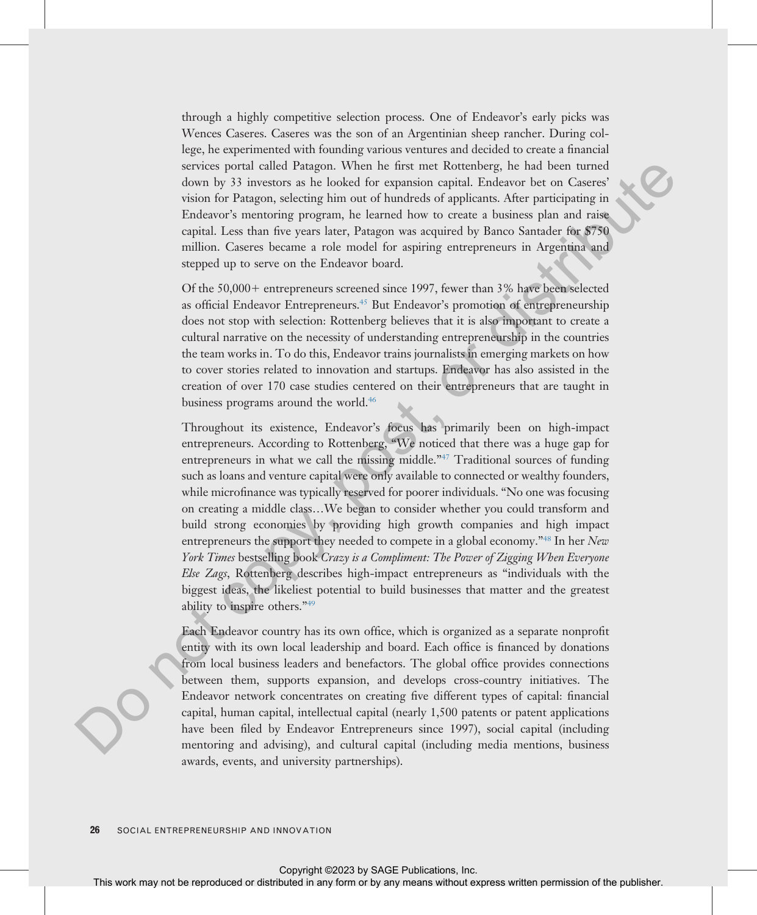through a highly competitive selection process. One of Endeavor's early picks was Wences Caseres. Caseres was the son of an Argentinian sheep rancher. During college, he experimented with founding various ventures and decided to create a financial services portal called Patagon. When he first met Rottenberg, he had been turned down by 33 investors as he looked for expansion capital. Endeavor bet on Caseres' vision for Patagon, selecting him out of hundreds of applicants. After participating in Endeavor's mentoring program, he learned how to create a business plan and raise capital. Less than five years later, Patagon was acquired by Banco Santader for \$750 million. Caseres became a role model for aspiring entrepreneurs in Argentina and stepped up to serve on the Endeavor board.

Of the  $50,000+$  entrepreneurs screened since 1997, fewer than 3% have been selected as official Endeavor Entrepreneurs.45 But Endeavor's promotion of entrepreneurship does not stop with selection: Rottenberg believes that it is also important to create a cultural narrative on the necessity of understanding entrepreneurship in the countries the team works in. To do this, Endeavor trains journalists in emerging markets on how to cover stories related to innovation and startups. Endeavor has also assisted in the creation of over 170 case studies centered on their entrepreneurs that are taught in business programs around the world.<sup>46</sup>

Throughout its existence, Endeavor's focus has primarily been on high-impact entrepreneurs. According to Rottenberg, "We noticed that there was a huge gap for entrepreneurs in what we call the missing middle."<sup>47</sup> Traditional sources of funding such as loans and venture capital were only available to connected or wealthy founders, while microfinance was typically reserved for poorer individuals. "No one was focusing on creating a middle class…We began to consider whether you could transform and build strong economies by providing high growth companies and high impact entrepreneurs the support they needed to compete in a global economy."<sup>48</sup> In her New York Times bestselling book Crazy is a Compliment: The Power of Zigging When Everyone Else Zags, Rottenberg describes high-impact entrepreneurs as "individuals with the biggest ideas, the likeliest potential to build businesses that matter and the greatest ability to inspire others."<sup>49</sup> solving spectral calcular Paragona. When it is not experiment or the local translation or the representation of the representation of the publisher of the publisher of the publisher. Change the symptom is learned by any c

Each Endeavor country has its own office, which is organized as a separate nonprofit entity with its own local leadership and board. Each office is financed by donations from local business leaders and benefactors. The global office provides connections between them, supports expansion, and develops cross-country initiatives. The Endeavor network concentrates on creating five different types of capital: financial capital, human capital, intellectual capital (nearly 1,500 patents or patent applications have been filed by Endeavor Entrepreneurs since 1997), social capital (including mentoring and advising), and cultural capital (including media mentions, business awards, events, and university partnerships).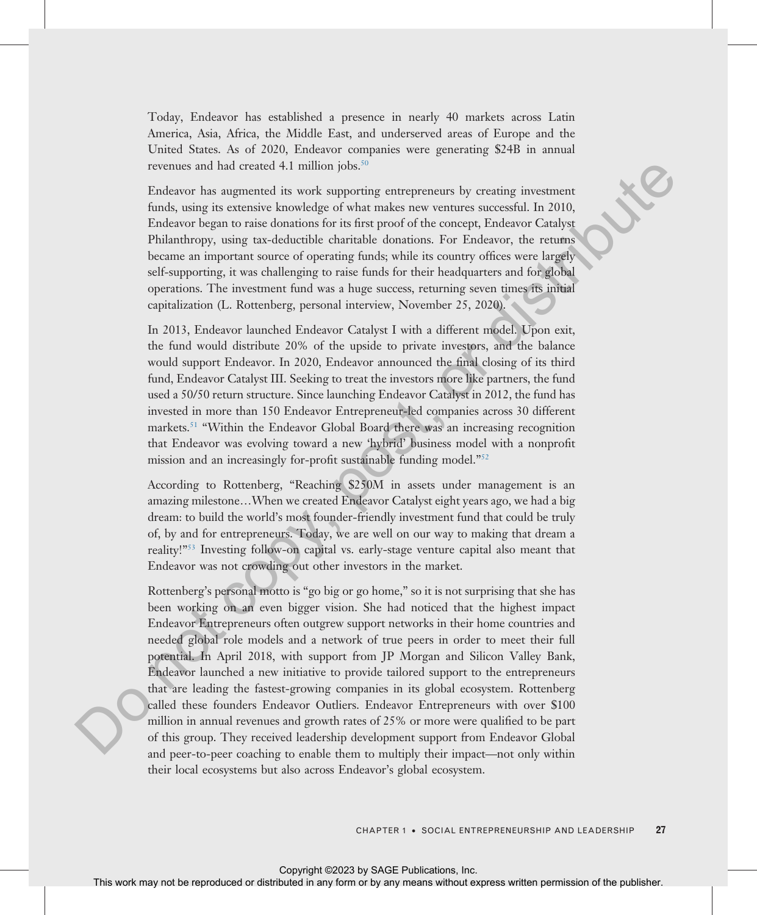Today, Endeavor has established a presence in nearly 40 markets across Latin America, Asia, Africa, the Middle East, and underserved areas of Europe and the United States. As of 2020, Endeavor companies were generating \$24B in annual revenues and had created 4.1 million jobs.<sup>50</sup>

Endeavor has augmented its work supporting entrepreneurs by creating investment funds, using its extensive knowledge of what makes new ventures successful. In 2010, Endeavor began to raise donations for its first proof of the concept, Endeavor Catalyst Philanthropy, using tax-deductible charitable donations. For Endeavor, the returns became an important source of operating funds; while its country offices were largely self-supporting, it was challenging to raise funds for their headquarters and for global operations. The investment fund was a huge success, returning seven times its initial capitalization (L. Rottenberg, personal interview, November 25, 2020).

In 2013, Endeavor launched Endeavor Catalyst I with a different model. Upon exit, the fund would distribute 20% of the upside to private investors, and the balance would support Endeavor. In 2020, Endeavor announced the final closing of its third fund, Endeavor Catalyst III. Seeking to treat the investors more like partners, the fund used a 50/50 return structure. Since launching Endeavor Catalyst in 2012, the fund has invested in more than 150 Endeavor Entrepreneur-led companies across 30 different markets.51 "Within the Endeavor Global Board there was an increasing recognition that Endeavor was evolving toward a new 'hybrid' business model with a nonprofit mission and an increasingly for-profit sustainable funding model."<sup>52</sup>

According to Rottenberg, "Reaching \$250M in assets under management is an amazing milestone…When we created Endeavor Catalyst eight years ago, we had a big dream: to build the world's most founder-friendly investment fund that could be truly of, by and for entrepreneurs. Today, we are well on our way to making that dream a reality!"<sup>53</sup> Investing follow-on capital vs. early-stage venture capital also meant that Endeavor was not crowding out other investors in the market.

Rottenberg's personal motto is "go big or go home," so it is not surprising that she has been working on an even bigger vision. She had noticed that the highest impact Endeavor Entrepreneurs often outgrew support networks in their home countries and needed global role models and a network of true peers in order to meet their full potential. In April 2018, with support from JP Morgan and Silicon Valley Bank, Endeavor launched a new initiative to provide tailored support to the entrepreneurs that are leading the fastest-growing companies in its global ecosystem. Rottenberg called these founders Endeavor Outliers. Endeavor Entrepreneurs with over \$100 million in annual revenues and growth rates of 25% or more were qualified to be part of this group. They received leadership development support from Endeavor Global and peer-to-peer coaching to enable them to multiply their impact—not only within their local ecosystems but also across Endeavor's global ecosystem. EVEN as that contact simulation (b) and interest to both contact in any versus secrected or distributed or distributed in any versus secrected in 2010, The means were versus with the publisher and the publisher. The Eucli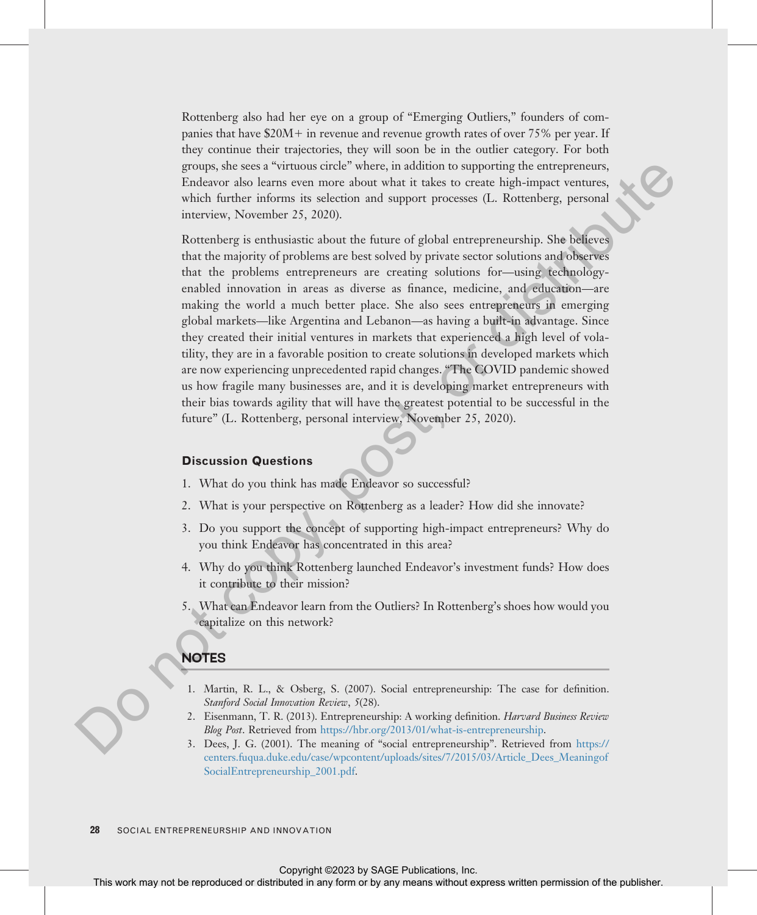Rottenberg also had her eye on a group of "Emerging Outliers," founders of companies that have  $$20M+$  in revenue and revenue growth rates of over 75% per year. If they continue their trajectories, they will soon be in the outlier category. For both groups, she sees a "virtuous circle" where, in addition to supporting the entrepreneurs, Endeavor also learns even more about what it takes to create high-impact ventures, which further informs its selection and support processes (L. Rottenberg, personal interview, November 25, 2020).

<span id="page-27-0"></span>Rottenberg is enthusiastic about the future of global entrepreneurship. She believes that the majority of problems are best solved by private sector solutions and observes that the problems entrepreneurs are creating solutions for—using technologyenabled innovation in areas as diverse as finance, medicine, and education—are making the world a much better place. She also sees entrepreneurs in emerging global markets—like Argentina and Lebanon—as having a built-in advantage. Since they created their initial ventures in markets that experienced a high level of volatility, they are in a favorable position to create solutions in developed markets which are now experiencing unprecedented rapid changes. "The COVID pandemic showed us how fragile many businesses are, and it is developing market entrepreneurs with their bias towards agility that will have the greatest potential to be successful in the future" (L. Rottenberg, personal interview, November 25, 2020). Express this work and the result in any means with the controlline the component or bereat in any form or between the selections, we are the selections, we are the selections, when the representation in any form or betwee

#### Discussion Questions

- 1. What do you think has made Endeavor so successful?
- 2. What is your perspective on Rottenberg as a leader? How did she innovate?
- 3. Do you support the concept of supporting high-impact entrepreneurs? Why do you think Endeavor has concentrated in this area?
- 4. Why do you think Rottenberg launched Endeavor's investment funds? How does it contribute to their mission?
- 5. What can Endeavor learn from the Outliers? In Rottenberg's shoes how would you capitalize on this network?

# NOTES

- 1. Martin, R. L., & Osberg, S. (2007). Social entrepreneurship: The case for definition. Stanford Social Innovation Review, 5(28).
- 2. Eisenmann, T. R. (2013). Entrepreneurship: A working definition. Harvard Business Review Blog Post. Retrieved from https://hbr.org/2013/01/what-is-entrepreneurship.
- 3. Dees, J. G. (2001). The meaning of "social entrepreneurship". Retrieved from https:// [centers.fuqua.duke.edu/case/wpcontent/uploads/sites/7/2015/03/Article\\_Dees\\_Meaningof](https://centers.fuqua.duke.edu/case/wpcontent/uploads/sites/7/2015/03/Article_Dees_MeaningofSocialEntrepreneurship_2001.pdf) [SocialEntrepreneurship\\_2001.pdf.](https://centers.fuqua.duke.edu/case/wpcontent/uploads/sites/7/2015/03/Article_Dees_MeaningofSocialEntrepreneurship_2001.pdf)

28 SOCIAL ENTREPRENEURSHIP AND INNOVATION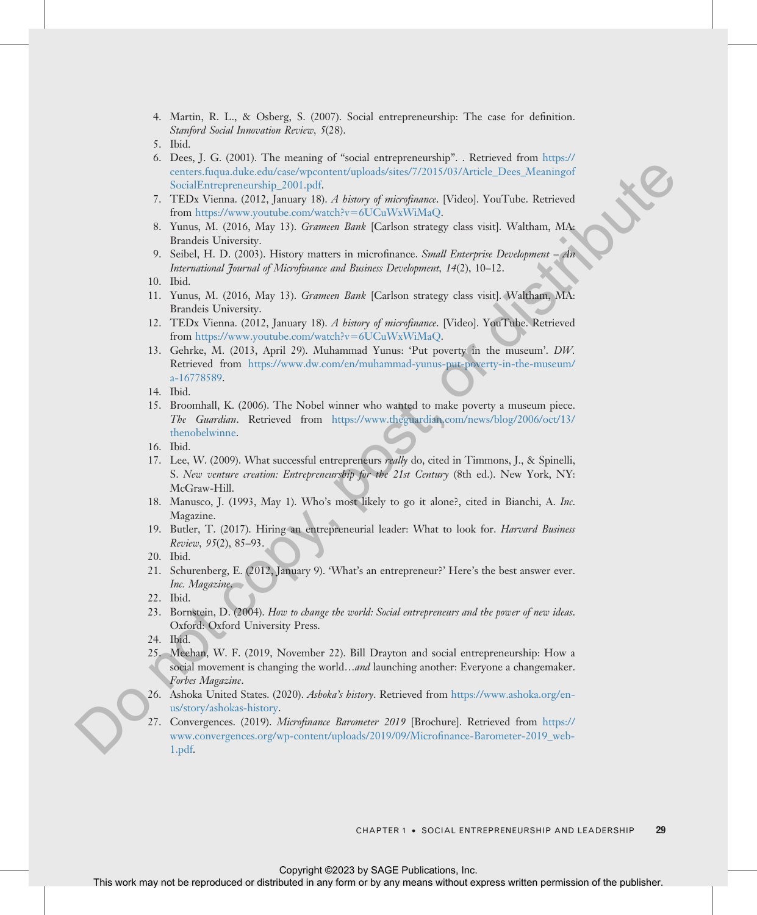- 4. Martin, R. L., & Osberg, S. (2007). Social entrepreneurship: The case for definition. Stanford Social Innovation Review, 5(28).
- 5. Ibid.
- 6. Dees, J. G. (2001). The meaning of "social entrepreneurship". . Retrieved from [https://](https://centers.fuqua.duke.edu/case/wpcontent/uploads/sites/7/2015/03/Article_Dees_MeaningofSocialEntrepreneurship_2001.pdf) centers.fuqua.duke.edu/case/wpcontent/uploads/sites/7/2015/03/Article\_Dees\_Meaningof SocialEntrepreneurship\_2001.pdf.
- 7. TEDx Vienna. (2012, January 18). A history of microfinance. [Video]. YouTube. Retrieved from https://www.youtube.com/watch?v=6UCuWxWiMaQ.
- 8. Yunus, M. (2016, May 13). Grameen Bank [Carlson strategy class visit]. Waltham, MA: Brandeis University.
- 9. Seibel, H. D. (2003). History matters in microfinance. Small Enterprise Development An International Journal of Microfinance and Business Development, 14(2), 10–12.
- 11. Yunus, M. (2016, May 13). Grameen Bank [Carlson strategy class visit]. Waltham, MA: Brandeis University.
- 12. TEDx Vienna. (2012, January 18). A history of microfinance. [Video]. YouTube. Retrieved from https://www.youtube.com/watch?v=6UCuWxWiMaQ.
- <span id="page-28-0"></span>13. Gehrke, M. (2013, April 29). Muhammad Yunus: 'Put poverty in the museum'. DW. Retrieved from [https://www.dw.com/en/muhammad-yunus-put-poverty-in-the-museum/](https://www.dw.com/en/muhammad-yunus-put-poverty-in-the-museum/a-16778589) a-16778589. This work may not be represented or distributed in any form or by any means with the repression or DNA with the Reference or DNA with the Reference of the DNA with the Reference of the publisher. This was not computed in
	- 14. Ibid.
	- 15. Broomhall, K. (2006). The Nobel winner who wanted to make poverty a museum piece. The Guardian. Retrieved from https://www.theguardian.com/news/blog/2006/oct/13/ thenobelwinne.
	- 16. Ibid.
	- 17. Lee, W. (2009). What successful entrepreneurs *really* do, cited in Timmons, J., & Spinelli, S. New venture creation: Entrepreneurship for the 21st Century (8th ed.). New York, NY: McGraw-Hill.
	- 18. Manusco, J. (1993, May 1). Who's most likely to go it alone?, cited in Bianchi, A. Inc. Magazine.
	- 19. Butler, T. (2017). Hiring an entrepreneurial leader: What to look for. *Harvard Business* Review, 95(2), 85–93.

21. Schurenberg, E. (2012, January 9). 'What's an entrepreneur?' Here's the best answer ever. Inc. Magazine.

- 23. Bornstein, D. (2004). How to change the world: Social entrepreneurs and the power of new ideas. Oxford: Oxford University Press.
- 24. Ibid.
- 25. Meehan, W. F. (2019, November 22). Bill Drayton and social entrepreneurship: How a social movement is changing the world…*and* launching another: Everyone a changemaker. Forbes Magazine.
- 26. Ashoka United States. (2020). Ashoka's history. Retrieved from https://www.ashoka.org/enus/story/ashokas-history.
- 27. Convergences. (2019). *Microfinance Barometer 2019* [Brochure]. Retrieved from https:// www.convergences.org/wp-content/uploads/2019/09/Microfinance-Barometer-2019\_web-1.pdf.

<sup>10.</sup> Ibid.

<sup>20.</sup> Ibid.

<sup>22.</sup> Ibid.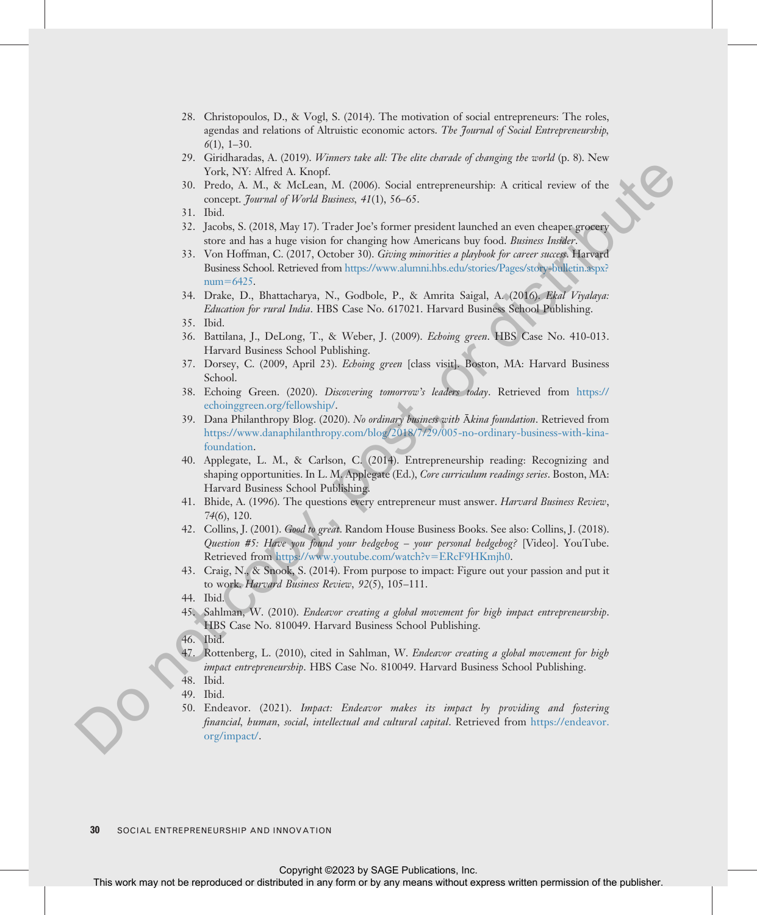- 28. Christopoulos, D., & Vogl, S. (2014). The motivation of social entrepreneurs: The roles, agendas and relations of Altruistic economic actors. The Journal of Social Entrepreneurship,  $6(1)$ , 1–30.
- 29. Giridharadas, A. (2019). Winners take all: The elite charade of changing the world (p. 8). New York, NY: Alfred A. Knopf.
- 30. Predo, A. M., & McLean, M. (2006). Social entrepreneurship: A critical review of the concept. Journal of World Business, 41(1), 56-65.
- 31. Ibid.
- 32. Jacobs, S. (2018, May 17). Trader Joe's former president launched an even cheaper grocery store and has a huge vision for changing how Americans buy food. Business Insider.
- 33. Von Hoffman, C. (2017, October 30). Giving minorities a playbook for career success. Harvard Business School. Retrieved from https://www.alumni.hbs.edu/stories/Pages/story-bulletin.aspx? num=6425.
- 34. Drake, D., Bhattacharya, N., Godbole, P., & Amrita Saigal, A. (2016). Ekal Viyalaya: Education for rural India. HBS Case No. 617021. Harvard Business School Publishing.
- 35. Ibid.
- 36. Battilana, J., DeLong, T., & Weber, J. (2009). Echoing green. HBS Case No. 410-013. Harvard Business School Publishing.
- 37. Dorsey, C. (2009, April 23). Echoing green [class visit]. Boston, MA: Harvard Business School.
- 38. Echoing Green. (2020). Discovering tomorrow's leaders today. Retrieved from https:// echoinggreen.org/fellowship/.
- 39. Dana Philanthropy Blog. (2020). No ordinary business with Ākina foundation. Retrieved from https://www.danaphilanthropy.com/blog/2018/7/29/005-no-ordinary-business-with-kinafoundation.
- <span id="page-29-0"></span>40. Applegate, L. M., & Carlson, C. (2014). Entrepreneurship reading: Recognizing and shaping opportunities. In L. M. Applegate (Ed.), Core curriculum readings series. Boston, MA: Harvard Business School Publishing. The results of the representation of the representation of the results and the results of the results of the results of the results of the results of the results of the publisher. (10), the cost of the publisher or dis[tri](https://www.alumni.hbs.edu/stories/Pages/story-bulletin.aspx?num=6425)
	- 41. Bhide, A. (1996). The questions every entrepreneur must answer. Harvard Business Review, 74(6), 120.
	- 42. Collins, J. (2001). Good to great. Random House Business Books. See also: Collins, J. (2018). Question #5: Have you found your hedgehog – your personal hedgehog? [Video]. YouTube. Retrieved from https://www.youtube.com/watch?v=ERcF9HKmjh0.
	- 43. Craig, N., & Snook, S. (2014). From purpose to impact: Figure out your passion and put it to work. Harvard Business Review, 92(5), 105–111.
	- 44. Ibid.
	- 45. Sahlman, W. (2010). Endeavor creating a global movement for high impact entrepreneurship. HBS Case No. 810049. Harvard Business School Publishing.
	- 46. Ibid.
	- Rottenberg, L. (2010), cited in Sahlman, W. Endeavor creating a global movement for high impact entrepreneurship. HBS Case No. 810049. Harvard Business School Publishing.
	- 48. Ibid.
	- 49. Ibid.
	- 50. Endeavor. (2021). Impact: Endeavor makes its impact by providing and fostering financial, human, social, intellectual and cultural capital. Retrieved from [https://endeavor.](https://endeavor.org/impact/) org/impact/.